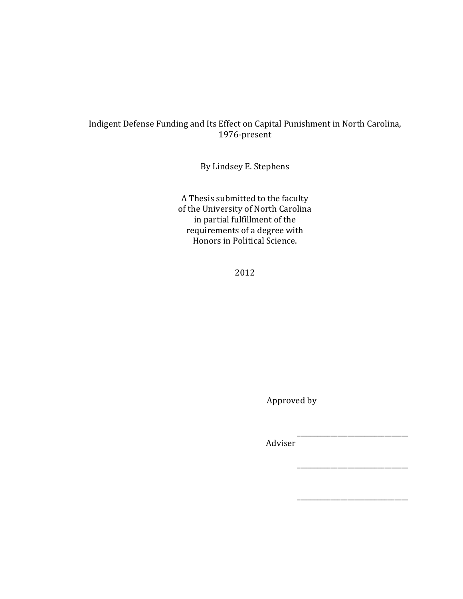## Indigent Defense Funding and Its Effect on Capital Punishment in North Carolina, 1976-present

By Lindsey E. Stephens

A Thesis submitted to the faculty of the University of North Carolina in partial fulfillment of the requirements of a degree with Honors in Political Science.

2012

Approved by

!!!!!!!!\_\_\_\_\_\_\_\_\_\_\_\_\_\_\_\_\_\_\_\_\_\_\_\_\_\_\_\_\_\_\_\_\_!

!!!!!!!!\_\_\_\_\_\_\_\_\_\_\_\_\_\_\_\_\_\_\_\_\_\_\_\_\_\_\_\_\_\_\_\_\_!

\_\_\_\_\_\_\_\_\_\_\_\_\_\_\_\_\_\_\_\_\_\_\_\_\_\_\_\_\_\_\_\_\_

Adviser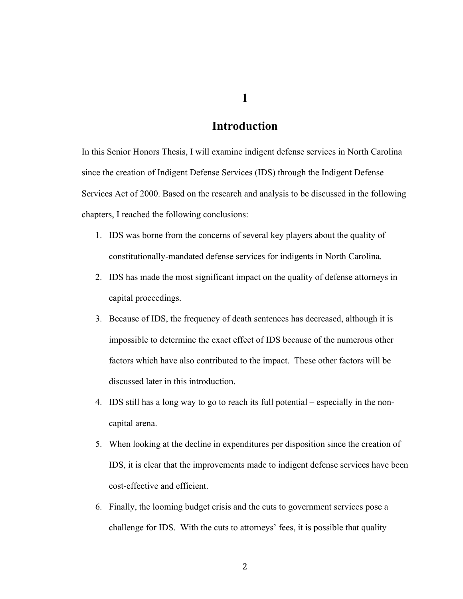**1**

# **Introduction**

In this Senior Honors Thesis, I will examine indigent defense services in North Carolina since the creation of Indigent Defense Services (IDS) through the Indigent Defense Services Act of 2000. Based on the research and analysis to be discussed in the following chapters, I reached the following conclusions:

- 1. IDS was borne from the concerns of several key players about the quality of constitutionally-mandated defense services for indigents in North Carolina.
- 2. IDS has made the most significant impact on the quality of defense attorneys in capital proceedings.
- 3. Because of IDS, the frequency of death sentences has decreased, although it is impossible to determine the exact effect of IDS because of the numerous other factors which have also contributed to the impact. These other factors will be discussed later in this introduction.
- 4. IDS still has a long way to go to reach its full potential especially in the noncapital arena.
- 5. When looking at the decline in expenditures per disposition since the creation of IDS, it is clear that the improvements made to indigent defense services have been cost-effective and efficient.
- 6. Finally, the looming budget crisis and the cuts to government services pose a challenge for IDS. With the cuts to attorneys' fees, it is possible that quality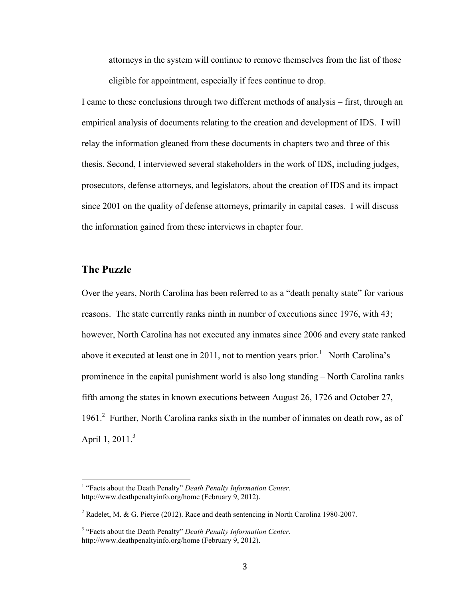attorneys in the system will continue to remove themselves from the list of those eligible for appointment, especially if fees continue to drop.

I came to these conclusions through two different methods of analysis – first, through an empirical analysis of documents relating to the creation and development of IDS. I will relay the information gleaned from these documents in chapters two and three of this thesis. Second, I interviewed several stakeholders in the work of IDS, including judges, prosecutors, defense attorneys, and legislators, about the creation of IDS and its impact since 2001 on the quality of defense attorneys, primarily in capital cases. I will discuss the information gained from these interviews in chapter four.

## **The Puzzle**

Over the years, North Carolina has been referred to as a "death penalty state" for various reasons. The state currently ranks ninth in number of executions since 1976, with 43; however, North Carolina has not executed any inmates since 2006 and every state ranked above it executed at least one in 2011, not to mention years prior.<sup>1</sup> North Carolina's prominence in the capital punishment world is also long standing – North Carolina ranks fifth among the states in known executions between August 26, 1726 and October 27, 1961.<sup>2</sup> Further, North Carolina ranks sixth in the number of inmates on death row, as of April 1,  $2011<sup>3</sup>$ 

<sup>&</sup>lt;sup>1</sup> "Facts about the Death Penalty" *Death Penalty Information Center.* http://www.deathpenaltyinfo.org/home (February 9, 2012).

<sup>&</sup>lt;sup>2</sup> Radelet, M. & G. Pierce (2012). Race and death sentencing in North Carolina 1980-2007.

<sup>&</sup>lt;sup>3</sup> "Facts about the Death Penalty" *Death Penalty Information Center*. http://www.deathpenaltyinfo.org/home (February 9, 2012).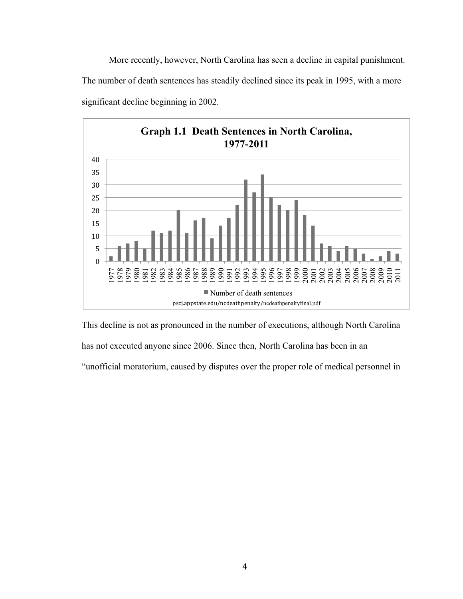More recently, however, North Carolina has seen a decline in capital punishment. The number of death sentences has steadily declined since its peak in 1995, with a more significant decline beginning in 2002.



This decline is not as pronounced in the number of executions, although North Carolina

has not executed anyone since 2006. Since then, North Carolina has been in an

"unofficial moratorium, caused by disputes over the proper role of medical personnel in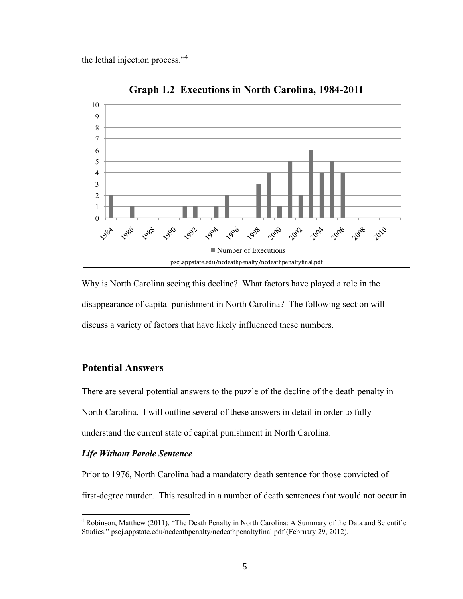the lethal injection process."<sup>4</sup>



Why is North Carolina seeing this decline? What factors have played a role in the disappearance of capital punishment in North Carolina? The following section will discuss a variety of factors that have likely influenced these numbers.

## **Potential Answers**

There are several potential answers to the puzzle of the decline of the death penalty in North Carolina. I will outline several of these answers in detail in order to fully understand the current state of capital punishment in North Carolina.

## *Life Without Parole Sentence*

Prior to 1976, North Carolina had a mandatory death sentence for those convicted of first-degree murder. This resulted in a number of death sentences that would not occur in

<sup>&</sup>lt;sup>4</sup> Robinson, Matthew (2011). "The Death Penalty in North Carolina: A Summary of the Data and Scientific Studies." pscj.appstate.edu/ncdeathpenalty/ncdeathpenaltyfinal.pdf (February 29, 2012).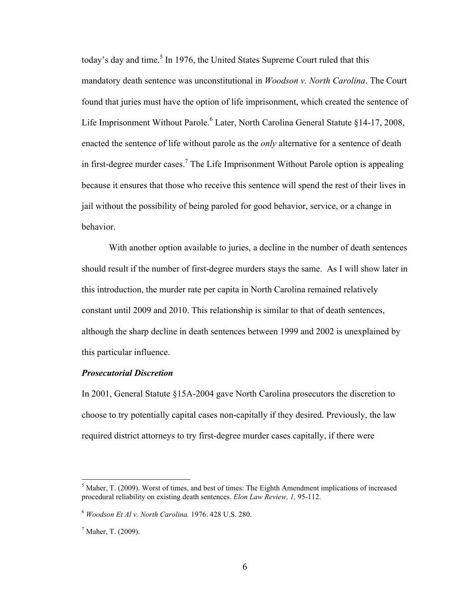today's day and time.<sup>5</sup> In 1976, the United States Supreme Court ruled that this mandatory death sentence was unconstitutional in *Woodson v. North Carolina*. The Court found that juries must have the option of life imprisonment, which created the sentence of Life Imprisonment Without Parole.<sup>6</sup> Later, North Carolina General Statute §14-17, 2008, enacted the sentence of life without parole as the *only* alternative for a sentence of death in first-degree murder cases.<sup>7</sup> The Life Imprisonment Without Parole option is appealing because it ensures that those who receive this sentence will spend the rest of their lives in jail without the possibility of being paroled for good behavior, service, or a change in behavior.

With another option available to juries, a decline in the number of death sentences should result if the number of first-degree murders stays the same. As I will show later in this introduction, the murder rate per capita in North Carolina remained relatively constant until 2009 and 2010. This relationship is similar to that of death sentences, although the sharp decline in death sentences between 1999 and 2002 is unexplained by this particular influence.

#### *Prosecutorial Discretion*

In 2001, General Statute §15A-2004 gave North Carolina prosecutors the discretion to choose to try potentially capital cases non-capitally if they desired. Previously, the law required district attorneys to try first-degree murder cases capitally, if there were

 $\frac{1}{5}$  Maher, T. (2009). Worst of times, and best of times: The Eighth Amendment implications of increased procedural reliability on existing death sentences. *Elon Law Review, 1,* 95-112.

<sup>6</sup> *Woodson Et Al v. North Carolina.* 1976. 428 U.S. 280.

<sup>&</sup>lt;sup>7</sup> Maher, T. (2009).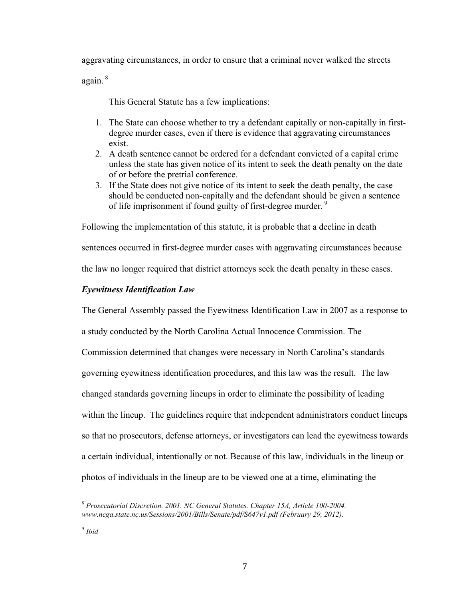aggravating circumstances, in order to ensure that a criminal never walked the streets

again. <sup>8</sup>

This General Statute has a few implications:

- 1. The State can choose whether to try a defendant capitally or non-capitally in firstdegree murder cases, even if there is evidence that aggravating circumstances exist.
- 2. A death sentence cannot be ordered for a defendant convicted of a capital crime unless the state has given notice of its intent to seek the death penalty on the date of or before the pretrial conference.
- 3. If the State does not give notice of its intent to seek the death penalty, the case should be conducted non-capitally and the defendant should be given a sentence of life imprisonment if found guilty of first-degree murder.<sup>9</sup>

Following the implementation of this statute, it is probable that a decline in death

sentences occurred in first-degree murder cases with aggravating circumstances because

the law no longer required that district attorneys seek the death penalty in these cases.

## *Eyewitness Identification Law*

The General Assembly passed the Eyewitness Identification Law in 2007 as a response to

a study conducted by the North Carolina Actual Innocence Commission. The

Commission determined that changes were necessary in North Carolina's standards

governing eyewitness identification procedures, and this law was the result. The law

changed standards governing lineups in order to eliminate the possibility of leading

within the lineup. The guidelines require that independent administrators conduct lineups

so that no prosecutors, defense attorneys, or investigators can lead the eyewitness towards

a certain individual, intentionally or not. Because of this law, individuals in the lineup or

photos of individuals in the lineup are to be viewed one at a time, eliminating the

<sup>&</sup>lt;sup>8</sup> Prosecutorial Discretion. 2001. NC General Statutes. Chapter 15A, Article 100-2004. *www.ncga.state.nc.us/Sessions/2001/Bills/Senate/pdf/S647v1.pdf (February 29, 2012).*

<sup>9</sup> *Ibid*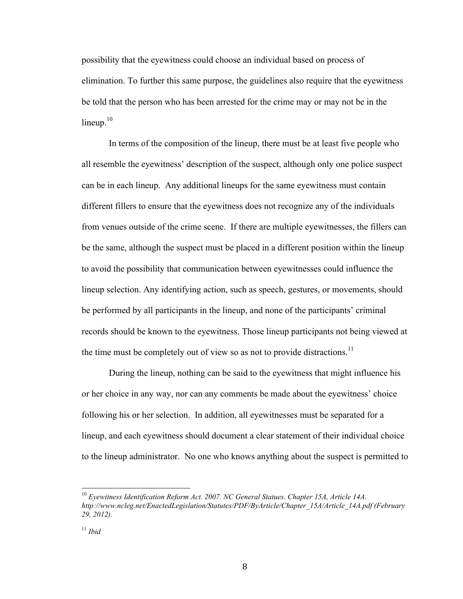possibility that the eyewitness could choose an individual based on process of elimination. To further this same purpose, the guidelines also require that the eyewitness be told that the person who has been arrested for the crime may or may not be in the  $lineup<sub>10</sub>$ 

In terms of the composition of the lineup, there must be at least five people who all resemble the eyewitness' description of the suspect, although only one police suspect can be in each lineup. Any additional lineups for the same eyewitness must contain different fillers to ensure that the eyewitness does not recognize any of the individuals from venues outside of the crime scene. If there are multiple eyewitnesses, the fillers can be the same, although the suspect must be placed in a different position within the lineup to avoid the possibility that communication between eyewitnesses could influence the lineup selection. Any identifying action, such as speech, gestures, or movements, should be performed by all participants in the lineup, and none of the participants' criminal records should be known to the eyewitness. Those lineup participants not being viewed at the time must be completely out of view so as not to provide distractions.<sup>11</sup>

During the lineup, nothing can be said to the eyewitness that might influence his or her choice in any way, nor can any comments be made about the eyewitness' choice following his or her selection. In addition, all eyewitnesses must be separated for a lineup, and each eyewitness should document a clear statement of their individual choice to the lineup administrator. No one who knows anything about the suspect is permitted to

<sup>&</sup>lt;sup>10</sup> Evewitness Identification Reform Act. 2007. NC General Statues. Chapter 15A, Article 14A. *http://www.ncleg.net/EnactedLegislation/Statutes/PDF/ByArticle/Chapter\_15A/Article\_14A.pdf (February 29, 2012).*

<sup>11</sup> *Ibid*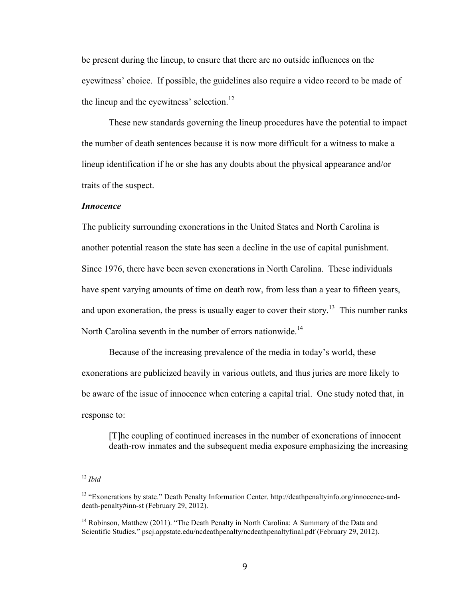be present during the lineup, to ensure that there are no outside influences on the eyewitness' choice. If possible, the guidelines also require a video record to be made of the lineup and the eyewitness' selection.<sup>12</sup>

These new standards governing the lineup procedures have the potential to impact the number of death sentences because it is now more difficult for a witness to make a lineup identification if he or she has any doubts about the physical appearance and/or traits of the suspect.

#### *Innocence*

The publicity surrounding exonerations in the United States and North Carolina is another potential reason the state has seen a decline in the use of capital punishment. Since 1976, there have been seven exonerations in North Carolina. These individuals have spent varying amounts of time on death row, from less than a year to fifteen years, and upon exoneration, the press is usually eager to cover their story.<sup>13</sup> This number ranks North Carolina seventh in the number of errors nationwide.<sup>14</sup>

Because of the increasing prevalence of the media in today's world, these exonerations are publicized heavily in various outlets, and thus juries are more likely to be aware of the issue of innocence when entering a capital trial. One study noted that, in response to:

[T]he coupling of continued increases in the number of exonerations of innocent death-row inmates and the subsequent media exposure emphasizing the increasing

<sup>!!!!!!!!!!!!!!!!!!!!!!!!!!!!!!!!!!!!!!!!!!!!!!!!!!!!!!!</sup> <sup>12</sup> *Ibid*

<sup>13</sup> "Exonerations by state." Death Penalty Information Center. http://deathpenaltyinfo.org/innocence-anddeath-penalty#inn-st (February 29, 2012).

<sup>&</sup>lt;sup>14</sup> Robinson, Matthew (2011). "The Death Penalty in North Carolina: A Summary of the Data and Scientific Studies." pscj.appstate.edu/ncdeathpenalty/ncdeathpenaltyfinal.pdf (February 29, 2012).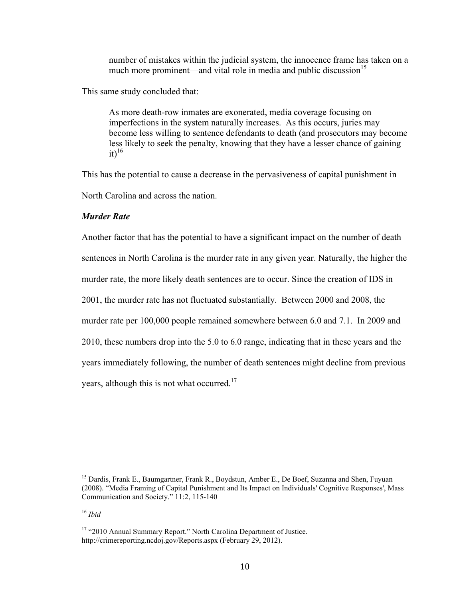number of mistakes within the judicial system, the innocence frame has taken on a much more prominent—and vital role in media and public discussion<sup>15</sup>

This same study concluded that:

As more death-row inmates are exonerated, media coverage focusing on imperfections in the system naturally increases. As this occurs, juries may become less willing to sentence defendants to death (and prosecutors may become less likely to seek the penalty, knowing that they have a lesser chance of gaining  $it)^{16}$ 

This has the potential to cause a decrease in the pervasiveness of capital punishment in

North Carolina and across the nation.

## *Murder Rate*

Another factor that has the potential to have a significant impact on the number of death sentences in North Carolina is the murder rate in any given year. Naturally, the higher the murder rate, the more likely death sentences are to occur. Since the creation of IDS in 2001, the murder rate has not fluctuated substantially. Between 2000 and 2008, the murder rate per 100,000 people remained somewhere between 6.0 and 7.1. In 2009 and 2010, these numbers drop into the 5.0 to 6.0 range, indicating that in these years and the years immediately following, the number of death sentences might decline from previous years, although this is not what occurred.<sup>17</sup>

<sup>&</sup>lt;sup>15</sup> Dardis, Frank E., Baumgartner, Frank R., Boydstun, Amber E., De Boef, Suzanna and Shen, Fuyuan (2008). "Media Framing of Capital Punishment and Its Impact on Individuals' Cognitive Responses', Mass Communication and Society." 11:2, 115-140

<sup>16</sup> *Ibid*

<sup>&</sup>lt;sup>17</sup> "2010 Annual Summary Report." North Carolina Department of Justice. http://crimereporting.ncdoj.gov/Reports.aspx (February 29, 2012).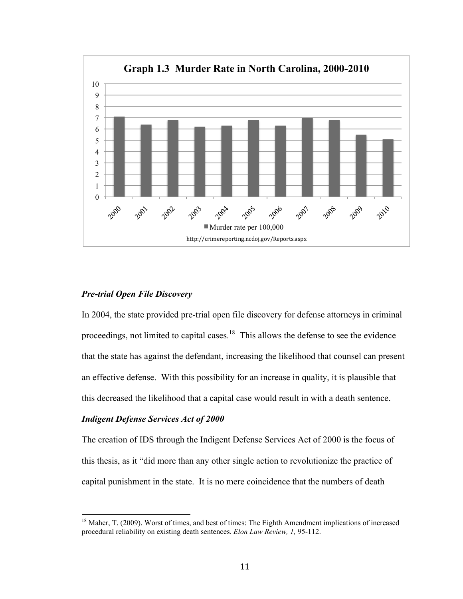

#### *Pre-trial Open File Discovery*

In 2004, the state provided pre-trial open file discovery for defense attorneys in criminal proceedings, not limited to capital cases.<sup>18</sup> This allows the defense to see the evidence that the state has against the defendant, increasing the likelihood that counsel can present an effective defense. With this possibility for an increase in quality, it is plausible that this decreased the likelihood that a capital case would result in with a death sentence.

#### *Indigent Defense Services Act of 2000*

The creation of IDS through the Indigent Defense Services Act of 2000 is the focus of this thesis, as it "did more than any other single action to revolutionize the practice of capital punishment in the state. It is no mere coincidence that the numbers of death

 $18$  Maher, T. (2009). Worst of times, and best of times: The Eighth Amendment implications of increased procedural reliability on existing death sentences. *Elon Law Review, 1,* 95-112.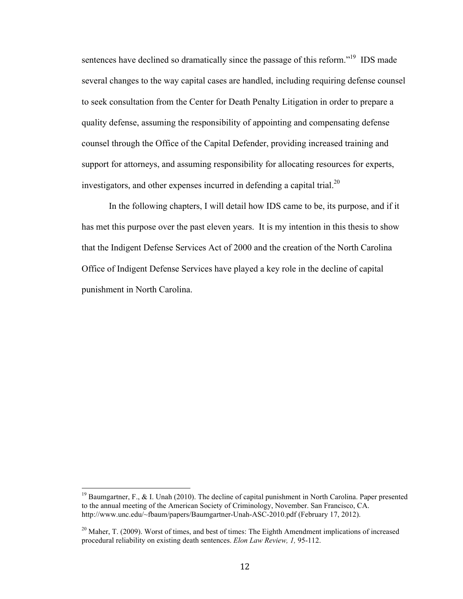sentences have declined so dramatically since the passage of this reform.<sup>"19</sup> IDS made several changes to the way capital cases are handled, including requiring defense counsel to seek consultation from the Center for Death Penalty Litigation in order to prepare a quality defense, assuming the responsibility of appointing and compensating defense counsel through the Office of the Capital Defender, providing increased training and support for attorneys, and assuming responsibility for allocating resources for experts, investigators, and other expenses incurred in defending a capital trial. $^{20}$ 

In the following chapters, I will detail how IDS came to be, its purpose, and if it has met this purpose over the past eleven years. It is my intention in this thesis to show that the Indigent Defense Services Act of 2000 and the creation of the North Carolina Office of Indigent Defense Services have played a key role in the decline of capital punishment in North Carolina.

<sup>&</sup>lt;sup>19</sup> Baumgartner, F., & I. Unah (2010). The decline of capital punishment in North Carolina. Paper presented to the annual meeting of the American Society of Criminology, November. San Francisco, CA. http://www.unc.edu/~fbaum/papers/Baumgartner-Unah-ASC-2010.pdf (February 17, 2012).

<sup>&</sup>lt;sup>20</sup> Maher, T. (2009). Worst of times, and best of times: The Eighth Amendment implications of increased procedural reliability on existing death sentences. *Elon Law Review, 1,* 95-112.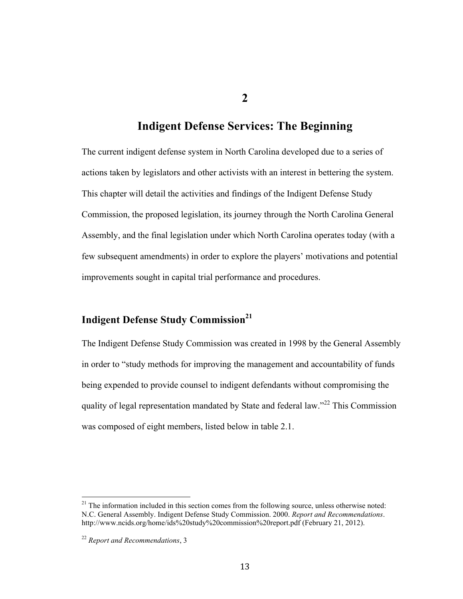**2**

# **Indigent Defense Services: The Beginning**

The current indigent defense system in North Carolina developed due to a series of actions taken by legislators and other activists with an interest in bettering the system. This chapter will detail the activities and findings of the Indigent Defense Study Commission, the proposed legislation, its journey through the North Carolina General Assembly, and the final legislation under which North Carolina operates today (with a few subsequent amendments) in order to explore the players' motivations and potential improvements sought in capital trial performance and procedures.

## **Indigent Defense Study Commission<sup>21</sup>**

The Indigent Defense Study Commission was created in 1998 by the General Assembly in order to "study methods for improving the management and accountability of funds being expended to provide counsel to indigent defendants without compromising the quality of legal representation mandated by State and federal law."<sup>22</sup> This Commission was composed of eight members, listed below in table 2.1.

 $21$  The information included in this section comes from the following source, unless otherwise noted: N.C. General Assembly. Indigent Defense Study Commission. 2000. *Report and Recommendations*. http://www.ncids.org/home/ids%20study%20commission%20report.pdf (February 21, 2012).

<sup>22</sup> *Report and Recommendations*, 3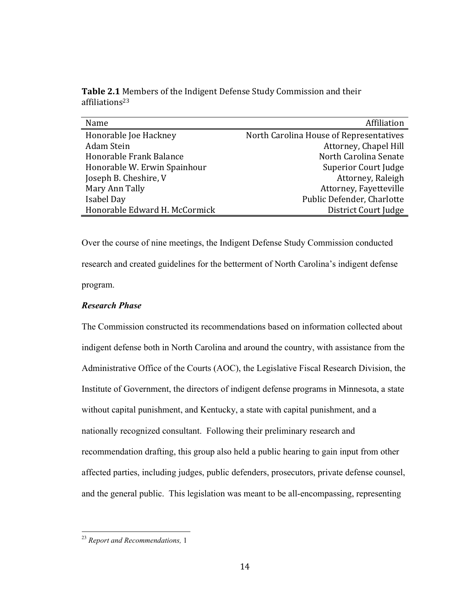| Name                          | Affiliation                             |
|-------------------------------|-----------------------------------------|
| Honorable Joe Hackney         | North Carolina House of Representatives |
| Adam Stein                    | Attorney, Chapel Hill                   |
| Honorable Frank Balance       | North Carolina Senate                   |
| Honorable W. Erwin Spainhour  | Superior Court Judge                    |
| Joseph B. Cheshire, V         | Attorney, Raleigh                       |
| Mary Ann Tally                | Attorney, Fayetteville                  |
| Isabel Day                    | Public Defender, Charlotte              |
| Honorable Edward H. McCormick | District Court Judge                    |

Table 2.1 Members of the Indigent Defense Study Commission and their affiliations23

Over the course of nine meetings, the Indigent Defense Study Commission conducted research and created guidelines for the betterment of North Carolina's indigent defense program.

## *Research Phase*

The Commission constructed its recommendations based on information collected about indigent defense both in North Carolina and around the country, with assistance from the Administrative Office of the Courts (AOC), the Legislative Fiscal Research Division, the Institute of Government, the directors of indigent defense programs in Minnesota, a state without capital punishment, and Kentucky, a state with capital punishment, and a nationally recognized consultant. Following their preliminary research and recommendation drafting, this group also held a public hearing to gain input from other affected parties, including judges, public defenders, prosecutors, private defense counsel, and the general public. This legislation was meant to be all-encompassing, representing

<sup>&</sup>lt;sup>23</sup> Report and Recommendations, 1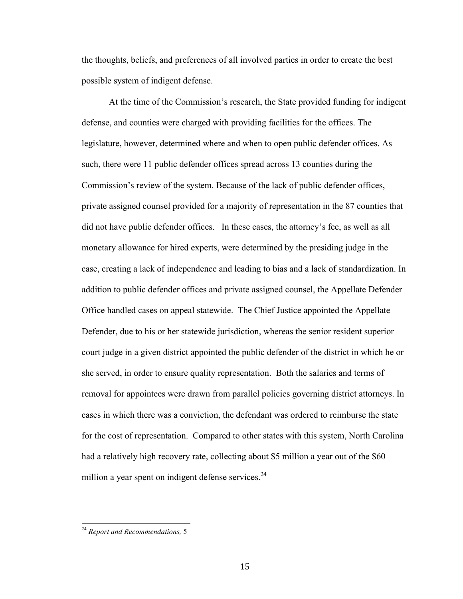the thoughts, beliefs, and preferences of all involved parties in order to create the best possible system of indigent defense.

At the time of the Commission's research, the State provided funding for indigent defense, and counties were charged with providing facilities for the offices. The legislature, however, determined where and when to open public defender offices. As such, there were 11 public defender offices spread across 13 counties during the Commission's review of the system. Because of the lack of public defender offices, private assigned counsel provided for a majority of representation in the 87 counties that did not have public defender offices. In these cases, the attorney's fee, as well as all monetary allowance for hired experts, were determined by the presiding judge in the case, creating a lack of independence and leading to bias and a lack of standardization. In addition to public defender offices and private assigned counsel, the Appellate Defender Office handled cases on appeal statewide. The Chief Justice appointed the Appellate Defender, due to his or her statewide jurisdiction, whereas the senior resident superior court judge in a given district appointed the public defender of the district in which he or she served, in order to ensure quality representation. Both the salaries and terms of removal for appointees were drawn from parallel policies governing district attorneys. In cases in which there was a conviction, the defendant was ordered to reimburse the state for the cost of representation. Compared to other states with this system, North Carolina had a relatively high recovery rate, collecting about \$5 million a year out of the \$60 million a year spent on indigent defense services. $^{24}$ 

<sup>&</sup>lt;sup>24</sup> Report and Recommendations, 5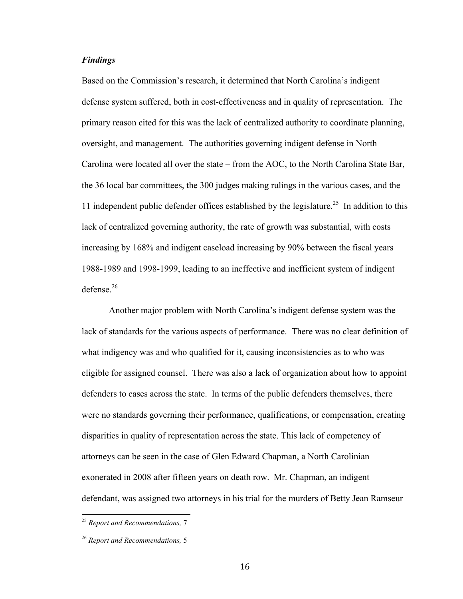#### *Findings*

Based on the Commission's research, it determined that North Carolina's indigent defense system suffered, both in cost-effectiveness and in quality of representation. The primary reason cited for this was the lack of centralized authority to coordinate planning, oversight, and management. The authorities governing indigent defense in North Carolina were located all over the state – from the AOC, to the North Carolina State Bar, the 36 local bar committees, the 300 judges making rulings in the various cases, and the 11 independent public defender offices established by the legislature.<sup>25</sup> In addition to this lack of centralized governing authority, the rate of growth was substantial, with costs increasing by 168% and indigent caseload increasing by 90% between the fiscal years 1988-1989 and 1998-1999, leading to an ineffective and inefficient system of indigent defense. $26$ 

Another major problem with North Carolina's indigent defense system was the lack of standards for the various aspects of performance. There was no clear definition of what indigency was and who qualified for it, causing inconsistencies as to who was eligible for assigned counsel. There was also a lack of organization about how to appoint defenders to cases across the state. In terms of the public defenders themselves, there were no standards governing their performance, qualifications, or compensation, creating disparities in quality of representation across the state. This lack of competency of attorneys can be seen in the case of Glen Edward Chapman, a North Carolinian exonerated in 2008 after fifteen years on death row. Mr. Chapman, an indigent defendant, was assigned two attorneys in his trial for the murders of Betty Jean Ramseur

<sup>&</sup>lt;sup>25</sup> Report and Recommendations, 7

<sup>26</sup> *Report and Recommendations,* 5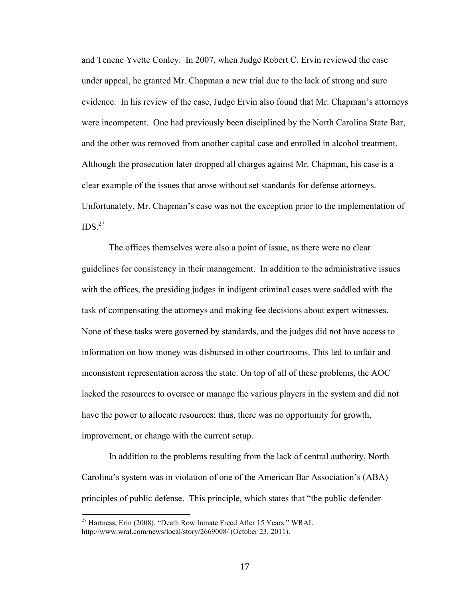and Tenene Yvette Conley. In 2007, when Judge Robert C. Ervin reviewed the case under appeal, he granted Mr. Chapman a new trial due to the lack of strong and sure evidence. In his review of the case, Judge Ervin also found that Mr. Chapman's attorneys were incompetent. One had previously been disciplined by the North Carolina State Bar, and the other was removed from another capital case and enrolled in alcohol treatment. Although the prosecution later dropped all charges against Mr. Chapman, his case is a clear example of the issues that arose without set standards for defense attorneys. Unfortunately, Mr. Chapman's case was not the exception prior to the implementation of  $\text{IDS}^{27}$ 

The offices themselves were also a point of issue, as there were no clear guidelines for consistency in their management. In addition to the administrative issues with the offices, the presiding judges in indigent criminal cases were saddled with the task of compensating the attorneys and making fee decisions about expert witnesses. None of these tasks were governed by standards, and the judges did not have access to information on how money was disbursed in other courtrooms. This led to unfair and inconsistent representation across the state. On top of all of these problems, the AOC lacked the resources to oversee or manage the various players in the system and did not have the power to allocate resources; thus, there was no opportunity for growth, improvement, or change with the current setup.

In addition to the problems resulting from the lack of central authority, North Carolina's system was in violation of one of the American Bar Association's (ABA) principles of public defense. This principle, which states that "the public defender

<sup>&</sup>lt;sup>27</sup> Hartness, Erin (2008). "Death Row Inmate Freed After 15 Years." WRAL http://www.wral.com/news/local/story/2669008/ (October 23, 2011).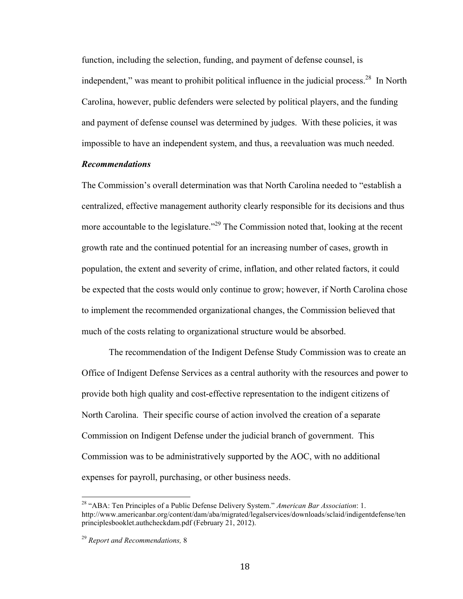function, including the selection, funding, and payment of defense counsel, is independent," was meant to prohibit political influence in the judicial process.<sup>28</sup> In North Carolina, however, public defenders were selected by political players, and the funding and payment of defense counsel was determined by judges. With these policies, it was impossible to have an independent system, and thus, a reevaluation was much needed.

#### *Recommendations*

The Commission's overall determination was that North Carolina needed to "establish a centralized, effective management authority clearly responsible for its decisions and thus more accountable to the legislature.<sup>229</sup> The Commission noted that, looking at the recent growth rate and the continued potential for an increasing number of cases, growth in population, the extent and severity of crime, inflation, and other related factors, it could be expected that the costs would only continue to grow; however, if North Carolina chose to implement the recommended organizational changes, the Commission believed that much of the costs relating to organizational structure would be absorbed.

The recommendation of the Indigent Defense Study Commission was to create an Office of Indigent Defense Services as a central authority with the resources and power to provide both high quality and cost-effective representation to the indigent citizens of North Carolina. Their specific course of action involved the creation of a separate Commission on Indigent Defense under the judicial branch of government. This Commission was to be administratively supported by the AOC, with no additional expenses for payroll, purchasing, or other business needs.

<sup>&</sup>lt;sup>28</sup> "ABA: Ten Principles of a Public Defense Delivery System." *American Bar Association*: 1. http://www.americanbar.org/content/dam/aba/migrated/legalservices/downloads/sclaid/indigentdefense/ten principlesbooklet.authcheckdam.pdf (February 21, 2012).

<sup>29</sup> *Report and Recommendations,* 8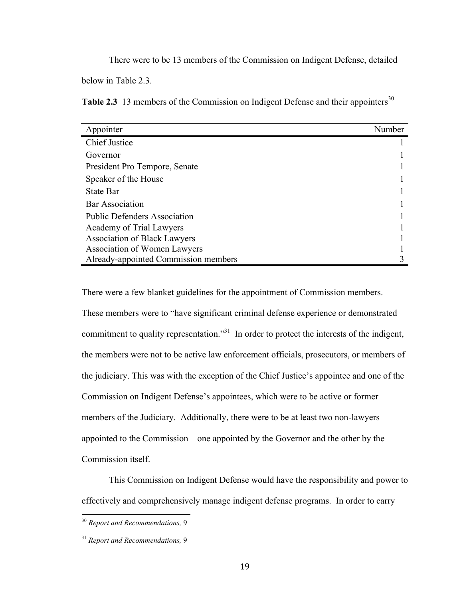There were to be 13 members of the Commission on Indigent Defense, detailed

below in Table 2.3.

Table 2.3 13 members of the Commission on Indigent Defense and their appointers<sup>30</sup>

| Appointer                            | Number |
|--------------------------------------|--------|
| <b>Chief Justice</b>                 |        |
| Governor                             |        |
| President Pro Tempore, Senate        |        |
| Speaker of the House                 |        |
| <b>State Bar</b>                     |        |
| <b>Bar Association</b>               |        |
| <b>Public Defenders Association</b>  |        |
| Academy of Trial Lawyers             |        |
| <b>Association of Black Lawyers</b>  |        |
| Association of Women Lawyers         |        |
| Already-appointed Commission members |        |

There were a few blanket guidelines for the appointment of Commission members.

These members were to "have significant criminal defense experience or demonstrated commitment to quality representation."<sup>31</sup> In order to protect the interests of the indigent, the members were not to be active law enforcement officials, prosecutors, or members of the judiciary. This was with the exception of the Chief Justice's appointee and one of the Commission on Indigent Defense's appointees, which were to be active or former members of the Judiciary. Additionally, there were to be at least two non-lawyers appointed to the Commission – one appointed by the Governor and the other by the Commission itself.

This Commission on Indigent Defense would have the responsibility and power to effectively and comprehensively manage indigent defense programs. In order to carry

<sup>&</sup>lt;sup>30</sup> Report and Recommendations, 9

<sup>31</sup> *Report and Recommendations,* 9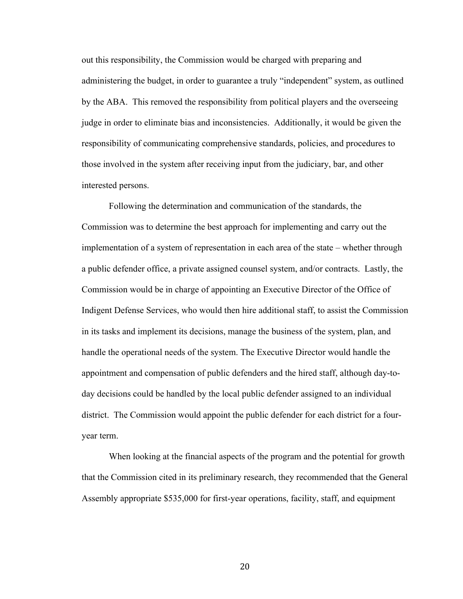out this responsibility, the Commission would be charged with preparing and administering the budget, in order to guarantee a truly "independent" system, as outlined by the ABA. This removed the responsibility from political players and the overseeing judge in order to eliminate bias and inconsistencies. Additionally, it would be given the responsibility of communicating comprehensive standards, policies, and procedures to those involved in the system after receiving input from the judiciary, bar, and other interested persons.

Following the determination and communication of the standards, the Commission was to determine the best approach for implementing and carry out the implementation of a system of representation in each area of the state – whether through a public defender office, a private assigned counsel system, and/or contracts. Lastly, the Commission would be in charge of appointing an Executive Director of the Office of Indigent Defense Services, who would then hire additional staff, to assist the Commission in its tasks and implement its decisions, manage the business of the system, plan, and handle the operational needs of the system. The Executive Director would handle the appointment and compensation of public defenders and the hired staff, although day-today decisions could be handled by the local public defender assigned to an individual district. The Commission would appoint the public defender for each district for a fouryear term.

When looking at the financial aspects of the program and the potential for growth that the Commission cited in its preliminary research, they recommended that the General Assembly appropriate \$535,000 for first-year operations, facility, staff, and equipment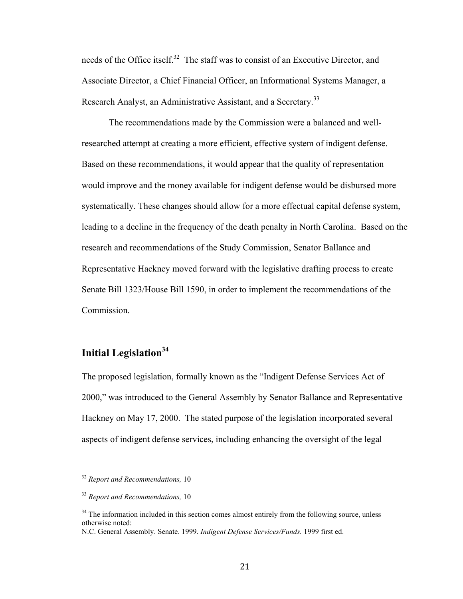needs of the Office itself.<sup>32</sup> The staff was to consist of an Executive Director, and Associate Director, a Chief Financial Officer, an Informational Systems Manager, a Research Analyst, an Administrative Assistant, and a Secretary.<sup>33</sup>

The recommendations made by the Commission were a balanced and wellresearched attempt at creating a more efficient, effective system of indigent defense. Based on these recommendations, it would appear that the quality of representation would improve and the money available for indigent defense would be disbursed more systematically. These changes should allow for a more effectual capital defense system, leading to a decline in the frequency of the death penalty in North Carolina. Based on the research and recommendations of the Study Commission, Senator Ballance and Representative Hackney moved forward with the legislative drafting process to create Senate Bill 1323/House Bill 1590, in order to implement the recommendations of the Commission.

# **Initial Legislation<sup>34</sup>**

The proposed legislation, formally known as the "Indigent Defense Services Act of 2000," was introduced to the General Assembly by Senator Ballance and Representative Hackney on May 17, 2000. The stated purpose of the legislation incorporated several aspects of indigent defense services, including enhancing the oversight of the legal

<sup>&</sup>lt;sup>32</sup> Report and Recommendations, 10

<sup>33</sup> *Report and Recommendations,* 10

<sup>&</sup>lt;sup>34</sup> The information included in this section comes almost entirely from the following source, unless otherwise noted:

N.C. General Assembly. Senate. 1999. *Indigent Defense Services/Funds.* 1999 first ed.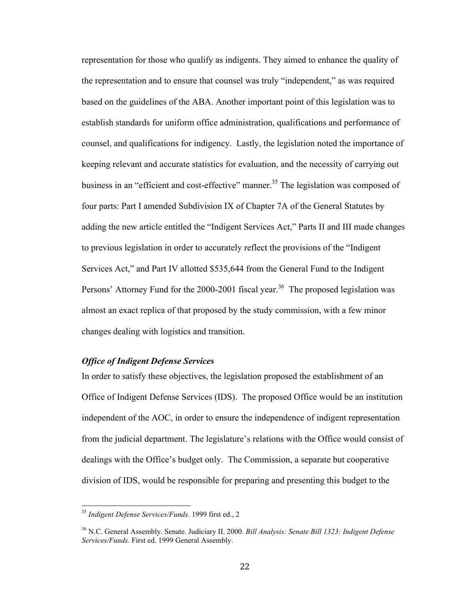representation for those who qualify as indigents. They aimed to enhance the quality of the representation and to ensure that counsel was truly "independent," as was required based on the guidelines of the ABA. Another important point of this legislation was to establish standards for uniform office administration, qualifications and performance of counsel, and qualifications for indigency. Lastly, the legislation noted the importance of keeping relevant and accurate statistics for evaluation, and the necessity of carrying out business in an "efficient and cost-effective" manner.<sup>35</sup> The legislation was composed of four parts: Part I amended Subdivision IX of Chapter 7A of the General Statutes by adding the new article entitled the "Indigent Services Act," Parts II and III made changes to previous legislation in order to accurately reflect the provisions of the "Indigent Services Act," and Part IV allotted \$535,644 from the General Fund to the Indigent Persons' Attorney Fund for the  $2000$ - $2001$  fiscal year.<sup>36</sup> The proposed legislation was almost an exact replica of that proposed by the study commission, with a few minor changes dealing with logistics and transition.

### *Office of Indigent Defense Services*

In order to satisfy these objectives, the legislation proposed the establishment of an Office of Indigent Defense Services (IDS). The proposed Office would be an institution independent of the AOC, in order to ensure the independence of indigent representation from the judicial department. The legislature's relations with the Office would consist of dealings with the Office's budget only. The Commission, a separate but cooperative division of IDS, would be responsible for preparing and presenting this budget to the

<sup>&</sup>lt;sup>35</sup> Indigent Defense Services/Funds. 1999 first ed., 2

<sup>36</sup> N.C. General Assembly. Senate. Judiciary II. 2000. *Bill Analysis: Senate Bill 1323: Indigent Defense Services/Funds.* First ed. 1999 General Assembly.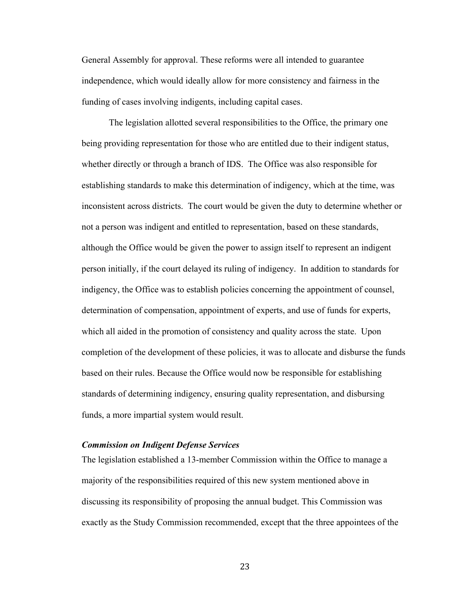General Assembly for approval. These reforms were all intended to guarantee independence, which would ideally allow for more consistency and fairness in the funding of cases involving indigents, including capital cases.

The legislation allotted several responsibilities to the Office, the primary one being providing representation for those who are entitled due to their indigent status, whether directly or through a branch of IDS. The Office was also responsible for establishing standards to make this determination of indigency, which at the time, was inconsistent across districts. The court would be given the duty to determine whether or not a person was indigent and entitled to representation, based on these standards, although the Office would be given the power to assign itself to represent an indigent person initially, if the court delayed its ruling of indigency. In addition to standards for indigency, the Office was to establish policies concerning the appointment of counsel, determination of compensation, appointment of experts, and use of funds for experts, which all aided in the promotion of consistency and quality across the state. Upon completion of the development of these policies, it was to allocate and disburse the funds based on their rules. Because the Office would now be responsible for establishing standards of determining indigency, ensuring quality representation, and disbursing funds, a more impartial system would result.

### *Commission on Indigent Defense Services*

The legislation established a 13-member Commission within the Office to manage a majority of the responsibilities required of this new system mentioned above in discussing its responsibility of proposing the annual budget. This Commission was exactly as the Study Commission recommended, except that the three appointees of the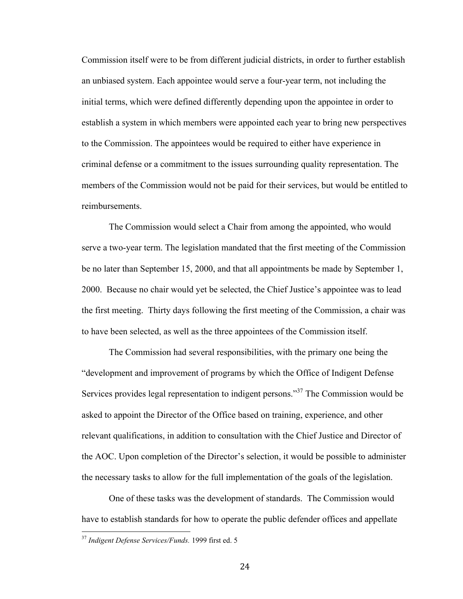Commission itself were to be from different judicial districts, in order to further establish an unbiased system. Each appointee would serve a four-year term, not including the initial terms, which were defined differently depending upon the appointee in order to establish a system in which members were appointed each year to bring new perspectives to the Commission. The appointees would be required to either have experience in criminal defense or a commitment to the issues surrounding quality representation. The members of the Commission would not be paid for their services, but would be entitled to reimbursements.

The Commission would select a Chair from among the appointed, who would serve a two-year term. The legislation mandated that the first meeting of the Commission be no later than September 15, 2000, and that all appointments be made by September 1, 2000. Because no chair would yet be selected, the Chief Justice's appointee was to lead the first meeting. Thirty days following the first meeting of the Commission, a chair was to have been selected, as well as the three appointees of the Commission itself.

The Commission had several responsibilities, with the primary one being the "development and improvement of programs by which the Office of Indigent Defense Services provides legal representation to indigent persons."37 The Commission would be asked to appoint the Director of the Office based on training, experience, and other relevant qualifications, in addition to consultation with the Chief Justice and Director of the AOC. Upon completion of the Director's selection, it would be possible to administer the necessary tasks to allow for the full implementation of the goals of the legislation.

One of these tasks was the development of standards. The Commission would have to establish standards for how to operate the public defender offices and appellate

<sup>&</sup>lt;sup>37</sup> Indigent Defense Services/Funds. 1999 first ed. 5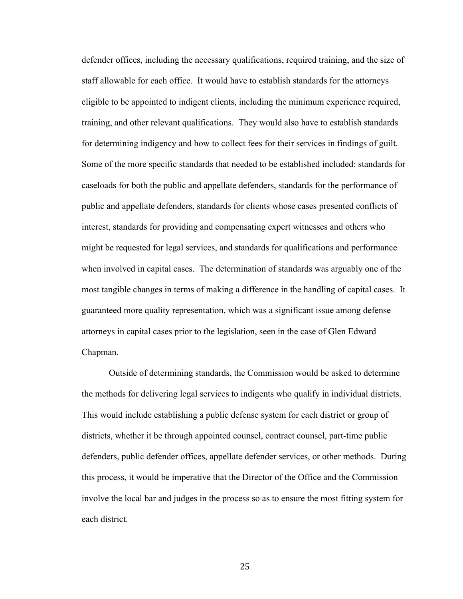defender offices, including the necessary qualifications, required training, and the size of staff allowable for each office. It would have to establish standards for the attorneys eligible to be appointed to indigent clients, including the minimum experience required, training, and other relevant qualifications. They would also have to establish standards for determining indigency and how to collect fees for their services in findings of guilt. Some of the more specific standards that needed to be established included: standards for caseloads for both the public and appellate defenders, standards for the performance of public and appellate defenders, standards for clients whose cases presented conflicts of interest, standards for providing and compensating expert witnesses and others who might be requested for legal services, and standards for qualifications and performance when involved in capital cases. The determination of standards was arguably one of the most tangible changes in terms of making a difference in the handling of capital cases. It guaranteed more quality representation, which was a significant issue among defense attorneys in capital cases prior to the legislation, seen in the case of Glen Edward Chapman.

Outside of determining standards, the Commission would be asked to determine the methods for delivering legal services to indigents who qualify in individual districts. This would include establishing a public defense system for each district or group of districts, whether it be through appointed counsel, contract counsel, part-time public defenders, public defender offices, appellate defender services, or other methods. During this process, it would be imperative that the Director of the Office and the Commission involve the local bar and judges in the process so as to ensure the most fitting system for each district.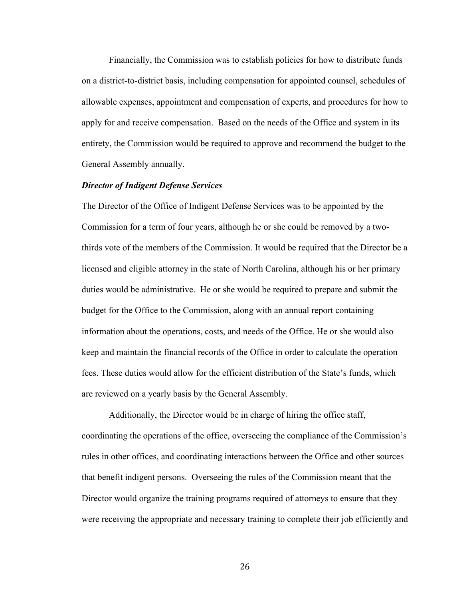Financially, the Commission was to establish policies for how to distribute funds on a district-to-district basis, including compensation for appointed counsel, schedules of allowable expenses, appointment and compensation of experts, and procedures for how to apply for and receive compensation. Based on the needs of the Office and system in its entirety, the Commission would be required to approve and recommend the budget to the General Assembly annually.

#### *Director of Indigent Defense Services*

The Director of the Office of Indigent Defense Services was to be appointed by the Commission for a term of four years, although he or she could be removed by a twothirds vote of the members of the Commission. It would be required that the Director be a licensed and eligible attorney in the state of North Carolina, although his or her primary duties would be administrative. He or she would be required to prepare and submit the budget for the Office to the Commission, along with an annual report containing information about the operations, costs, and needs of the Office. He or she would also keep and maintain the financial records of the Office in order to calculate the operation fees. These duties would allow for the efficient distribution of the State's funds, which are reviewed on a yearly basis by the General Assembly.

Additionally, the Director would be in charge of hiring the office staff, coordinating the operations of the office, overseeing the compliance of the Commission's rules in other offices, and coordinating interactions between the Office and other sources that benefit indigent persons. Overseeing the rules of the Commission meant that the Director would organize the training programs required of attorneys to ensure that they were receiving the appropriate and necessary training to complete their job efficiently and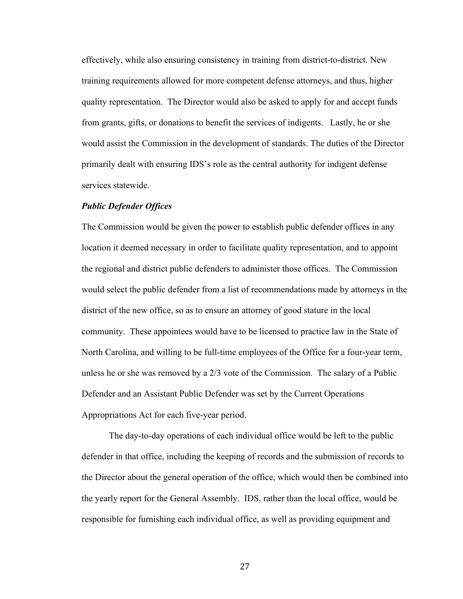effectively, while also ensuring consistency in training from district-to-district. New training requirements allowed for more competent defense attorneys, and thus, higher quality representation. The Director would also be asked to apply for and accept funds from grants, gifts, or donations to benefit the services of indigents. Lastly, he or she would assist the Commission in the development of standards. The duties of the Director primarily dealt with ensuring IDS's role as the central authority for indigent defense services statewide.

#### *Public Defender Offices*

The Commission would be given the power to establish public defender offices in any location it deemed necessary in order to facilitate quality representation, and to appoint the regional and district public defenders to administer those offices. The Commission would select the public defender from a list of recommendations made by attorneys in the district of the new office, so as to ensure an attorney of good stature in the local community. These appointees would have to be licensed to practice law in the State of North Carolina, and willing to be full-time employees of the Office for a four-year term, unless he or she was removed by a 2/3 vote of the Commission. The salary of a Public Defender and an Assistant Public Defender was set by the Current Operations Appropriations Act for each five-year period.

The day-to-day operations of each individual office would be left to the public defender in that office, including the keeping of records and the submission of records to the Director about the general operation of the office, which would then be combined into the yearly report for the General Assembly. IDS, rather than the local office, would be responsible for furnishing each individual office, as well as providing equipment and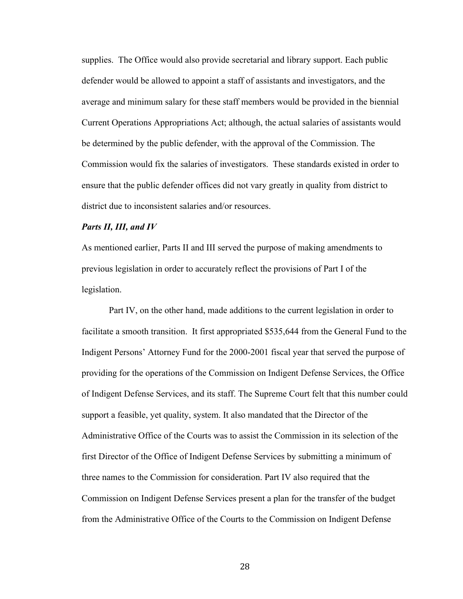supplies. The Office would also provide secretarial and library support. Each public defender would be allowed to appoint a staff of assistants and investigators, and the average and minimum salary for these staff members would be provided in the biennial Current Operations Appropriations Act; although, the actual salaries of assistants would be determined by the public defender, with the approval of the Commission. The Commission would fix the salaries of investigators. These standards existed in order to ensure that the public defender offices did not vary greatly in quality from district to district due to inconsistent salaries and/or resources.

### *Parts II, III, and IV*

As mentioned earlier, Parts II and III served the purpose of making amendments to previous legislation in order to accurately reflect the provisions of Part I of the legislation.

Part IV, on the other hand, made additions to the current legislation in order to facilitate a smooth transition. It first appropriated \$535,644 from the General Fund to the Indigent Persons' Attorney Fund for the 2000-2001 fiscal year that served the purpose of providing for the operations of the Commission on Indigent Defense Services, the Office of Indigent Defense Services, and its staff. The Supreme Court felt that this number could support a feasible, yet quality, system. It also mandated that the Director of the Administrative Office of the Courts was to assist the Commission in its selection of the first Director of the Office of Indigent Defense Services by submitting a minimum of three names to the Commission for consideration. Part IV also required that the Commission on Indigent Defense Services present a plan for the transfer of the budget from the Administrative Office of the Courts to the Commission on Indigent Defense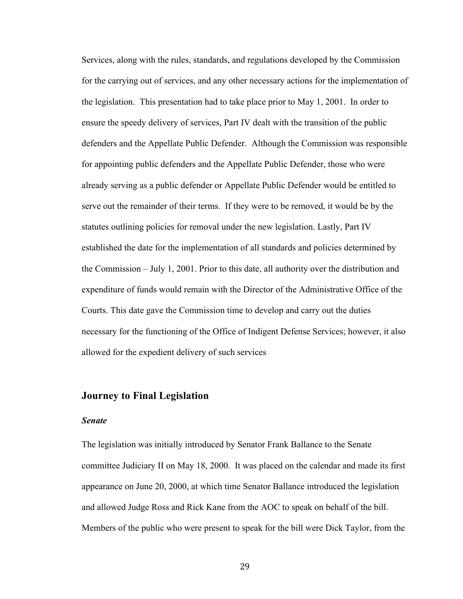Services, along with the rules, standards, and regulations developed by the Commission for the carrying out of services, and any other necessary actions for the implementation of the legislation. This presentation had to take place prior to May 1, 2001. In order to ensure the speedy delivery of services, Part IV dealt with the transition of the public defenders and the Appellate Public Defender. Although the Commission was responsible for appointing public defenders and the Appellate Public Defender, those who were already serving as a public defender or Appellate Public Defender would be entitled to serve out the remainder of their terms. If they were to be removed, it would be by the statutes outlining policies for removal under the new legislation. Lastly, Part IV established the date for the implementation of all standards and policies determined by the Commission – July 1, 2001. Prior to this date, all authority over the distribution and expenditure of funds would remain with the Director of the Administrative Office of the Courts. This date gave the Commission time to develop and carry out the duties necessary for the functioning of the Office of Indigent Defense Services; however, it also allowed for the expedient delivery of such services

## **Journey to Final Legislation**

#### *Senate*

The legislation was initially introduced by Senator Frank Ballance to the Senate committee Judiciary II on May 18, 2000. It was placed on the calendar and made its first appearance on June 20, 2000, at which time Senator Ballance introduced the legislation and allowed Judge Ross and Rick Kane from the AOC to speak on behalf of the bill. Members of the public who were present to speak for the bill were Dick Taylor, from the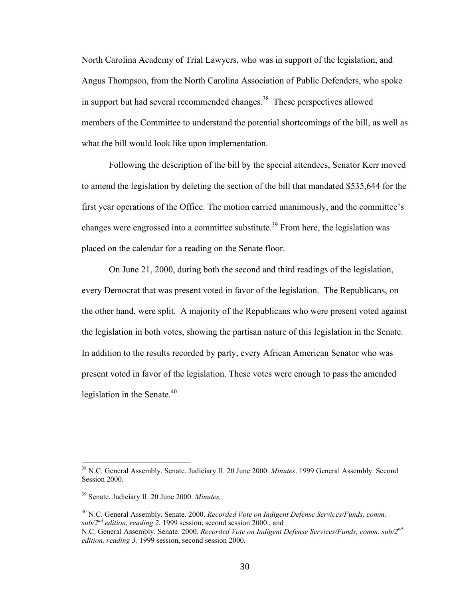North Carolina Academy of Trial Lawyers, who was in support of the legislation, and Angus Thompson, from the North Carolina Association of Public Defenders, who spoke in support but had several recommended changes.<sup>38</sup> These perspectives allowed members of the Committee to understand the potential shortcomings of the bill, as well as what the bill would look like upon implementation.

Following the description of the bill by the special attendees, Senator Kerr moved to amend the legislation by deleting the section of the bill that mandated \$535,644 for the first year operations of the Office. The motion carried unanimously, and the committee's changes were engrossed into a committee substitute.<sup>39</sup> From here, the legislation was placed on the calendar for a reading on the Senate floor.

On June 21, 2000, during both the second and third readings of the legislation, every Democrat that was present voted in favor of the legislation. The Republicans, on the other hand, were split. A majority of the Republicans who were present voted against the legislation in both votes, showing the partisan nature of this legislation in the Senate. In addition to the results recorded by party, every African American Senator who was present voted in favor of the legislation. These votes were enough to pass the amended legislation in the Senate. $40$ 

<sup>&</sup>lt;sup>38</sup> N.C. General Assembly. Senate. Judiciary II. 20 June 2000. *Minutes*. 1999 General Assembly. Second Session 2000.

<sup>39</sup> Senate. Judiciary II. 20 June 2000. *Minutes,*.

<sup>40</sup> N.C. General Assembly. Senate. 2000. *Recorded Vote on Indigent Defense Services/Funds, comm. sub/2nd edition, reading 2.* 1999 session, second session 2000., and

N.C. General Assembly. Senate. 2000. *Recorded Vote on Indigent Defense Services/Funds, comm. sub/2nd edition, reading 3.* 1999 session, second session 2000.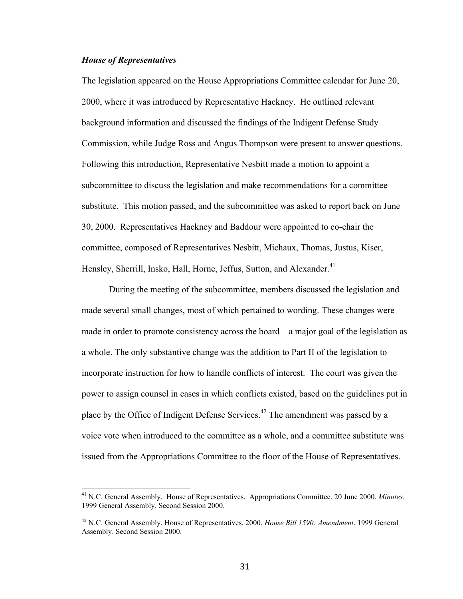#### *House of Representatives*

The legislation appeared on the House Appropriations Committee calendar for June 20, 2000, where it was introduced by Representative Hackney. He outlined relevant background information and discussed the findings of the Indigent Defense Study Commission, while Judge Ross and Angus Thompson were present to answer questions. Following this introduction, Representative Nesbitt made a motion to appoint a subcommittee to discuss the legislation and make recommendations for a committee substitute. This motion passed, and the subcommittee was asked to report back on June 30, 2000. Representatives Hackney and Baddour were appointed to co-chair the committee, composed of Representatives Nesbitt, Michaux, Thomas, Justus, Kiser, Hensley, Sherrill, Insko, Hall, Horne, Jeffus, Sutton, and Alexander.<sup>41</sup>

During the meeting of the subcommittee, members discussed the legislation and made several small changes, most of which pertained to wording. These changes were made in order to promote consistency across the board – a major goal of the legislation as a whole. The only substantive change was the addition to Part II of the legislation to incorporate instruction for how to handle conflicts of interest. The court was given the power to assign counsel in cases in which conflicts existed, based on the guidelines put in place by the Office of Indigent Defense Services.<sup>42</sup> The amendment was passed by a voice vote when introduced to the committee as a whole, and a committee substitute was issued from the Appropriations Committee to the floor of the House of Representatives.

<sup>&</sup>lt;sup>41</sup> N.C. General Assembly. House of Representatives. Appropriations Committee. 20 June 2000. *Minutes.* 1999 General Assembly. Second Session 2000.

<sup>42</sup> N.C. General Assembly. House of Representatives. 2000. *House Bill 1590: Amendment*. 1999 General Assembly. Second Session 2000.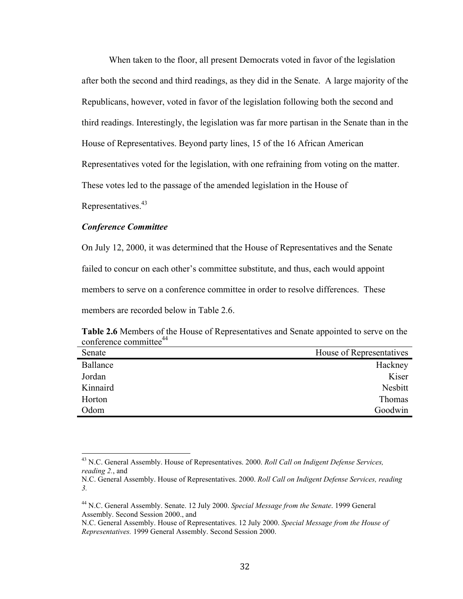When taken to the floor, all present Democrats voted in favor of the legislation after both the second and third readings, as they did in the Senate. A large majority of the Republicans, however, voted in favor of the legislation following both the second and third readings. Interestingly, the legislation was far more partisan in the Senate than in the House of Representatives. Beyond party lines, 15 of the 16 African American Representatives voted for the legislation, with one refraining from voting on the matter. These votes led to the passage of the amended legislation in the House of

Representatives.<sup>43</sup>

### *Conference Committee*

On July 12, 2000, it was determined that the House of Representatives and the Senate failed to concur on each other's committee substitute, and thus, each would appoint members to serve on a conference committee in order to resolve differences. These members are recorded below in Table 2.6.

| conference committee |                          |  |
|----------------------|--------------------------|--|
| Senate               | House of Representatives |  |
| Ballance             | Hackney                  |  |
| Jordan               | Kiser                    |  |
| Kinnaird             | Nesbitt                  |  |
| Horton               | Thomas                   |  |
| Odom                 | Goodwin                  |  |

|                                    | Table 2.6 Members of the House of Representatives and Senate appointed to serve on the |  |
|------------------------------------|----------------------------------------------------------------------------------------|--|
| conference committee <sup>44</sup> |                                                                                        |  |

<sup>&</sup>lt;sup>43</sup> N.C. General Assembly. House of Representatives. 2000. *Roll Call on Indigent Defense Services*, *reading 2.*, and

N.C. General Assembly. House of Representatives. 2000. *Roll Call on Indigent Defense Services, reading 3.*

<sup>44</sup> N.C. General Assembly. Senate. 12 July 2000. *Special Message from the Senate*. 1999 General Assembly. Second Session 2000., and

N.C. General Assembly. House of Representatives. 12 July 2000. *Special Message from the House of Representatives.* 1999 General Assembly. Second Session 2000.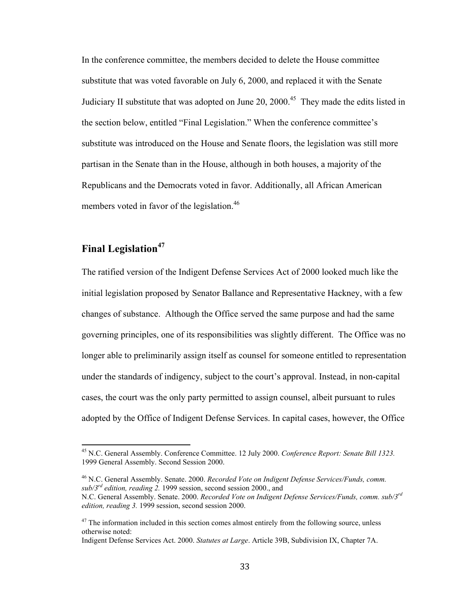In the conference committee, the members decided to delete the House committee substitute that was voted favorable on July 6, 2000, and replaced it with the Senate Judiciary II substitute that was adopted on June 20, 2000.<sup>45</sup> They made the edits listed in the section below, entitled "Final Legislation." When the conference committee's substitute was introduced on the House and Senate floors, the legislation was still more partisan in the Senate than in the House, although in both houses, a majority of the Republicans and the Democrats voted in favor. Additionally, all African American members voted in favor of the legislation.<sup>46</sup>

# **Final Legislation<sup>47</sup>**

The ratified version of the Indigent Defense Services Act of 2000 looked much like the initial legislation proposed by Senator Ballance and Representative Hackney, with a few changes of substance. Although the Office served the same purpose and had the same governing principles, one of its responsibilities was slightly different. The Office was no longer able to preliminarily assign itself as counsel for someone entitled to representation under the standards of indigency, subject to the court's approval. Instead, in non-capital cases, the court was the only party permitted to assign counsel, albeit pursuant to rules adopted by the Office of Indigent Defense Services. In capital cases, however, the Office

46 N.C. General Assembly. Senate. 2000. *Recorded Vote on Indigent Defense Services/Funds, comm. sub/3rd edition, reading 2.* 1999 session, second session 2000., and

<sup>&</sup>lt;sup>45</sup> N.C. General Assembly. Conference Committee. 12 July 2000. *Conference Report: Senate Bill 1323*. 1999 General Assembly. Second Session 2000.

N.C. General Assembly. Senate. 2000. *Recorded Vote on Indigent Defense Services/Funds, comm. sub/3rd edition, reading 3.* 1999 session, second session 2000.

 $47$  The information included in this section comes almost entirely from the following source, unless otherwise noted:

Indigent Defense Services Act. 2000. *Statutes at Large*. Article 39B, Subdivision IX, Chapter 7A.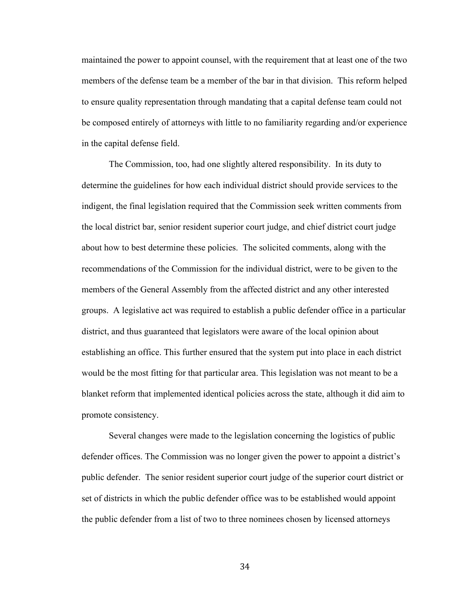maintained the power to appoint counsel, with the requirement that at least one of the two members of the defense team be a member of the bar in that division. This reform helped to ensure quality representation through mandating that a capital defense team could not be composed entirely of attorneys with little to no familiarity regarding and/or experience in the capital defense field.

The Commission, too, had one slightly altered responsibility. In its duty to determine the guidelines for how each individual district should provide services to the indigent, the final legislation required that the Commission seek written comments from the local district bar, senior resident superior court judge, and chief district court judge about how to best determine these policies. The solicited comments, along with the recommendations of the Commission for the individual district, were to be given to the members of the General Assembly from the affected district and any other interested groups. A legislative act was required to establish a public defender office in a particular district, and thus guaranteed that legislators were aware of the local opinion about establishing an office. This further ensured that the system put into place in each district would be the most fitting for that particular area. This legislation was not meant to be a blanket reform that implemented identical policies across the state, although it did aim to promote consistency.

Several changes were made to the legislation concerning the logistics of public defender offices. The Commission was no longer given the power to appoint a district's public defender. The senior resident superior court judge of the superior court district or set of districts in which the public defender office was to be established would appoint the public defender from a list of two to three nominees chosen by licensed attorneys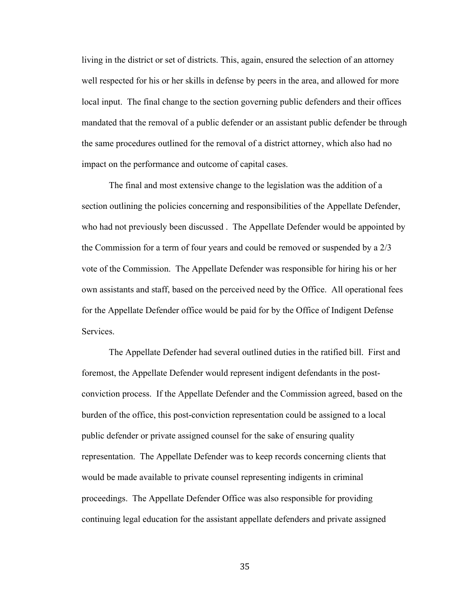living in the district or set of districts. This, again, ensured the selection of an attorney well respected for his or her skills in defense by peers in the area, and allowed for more local input. The final change to the section governing public defenders and their offices mandated that the removal of a public defender or an assistant public defender be through the same procedures outlined for the removal of a district attorney, which also had no impact on the performance and outcome of capital cases.

The final and most extensive change to the legislation was the addition of a section outlining the policies concerning and responsibilities of the Appellate Defender, who had not previously been discussed . The Appellate Defender would be appointed by the Commission for a term of four years and could be removed or suspended by a 2/3 vote of the Commission. The Appellate Defender was responsible for hiring his or her own assistants and staff, based on the perceived need by the Office. All operational fees for the Appellate Defender office would be paid for by the Office of Indigent Defense Services.

The Appellate Defender had several outlined duties in the ratified bill. First and foremost, the Appellate Defender would represent indigent defendants in the postconviction process. If the Appellate Defender and the Commission agreed, based on the burden of the office, this post-conviction representation could be assigned to a local public defender or private assigned counsel for the sake of ensuring quality representation. The Appellate Defender was to keep records concerning clients that would be made available to private counsel representing indigents in criminal proceedings. The Appellate Defender Office was also responsible for providing continuing legal education for the assistant appellate defenders and private assigned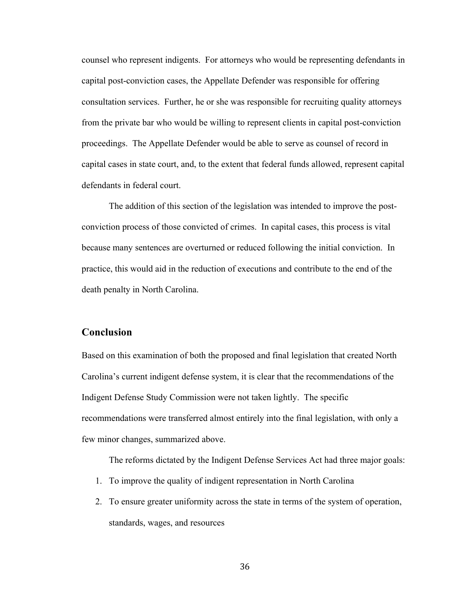counsel who represent indigents. For attorneys who would be representing defendants in capital post-conviction cases, the Appellate Defender was responsible for offering consultation services. Further, he or she was responsible for recruiting quality attorneys from the private bar who would be willing to represent clients in capital post-conviction proceedings. The Appellate Defender would be able to serve as counsel of record in capital cases in state court, and, to the extent that federal funds allowed, represent capital defendants in federal court.

The addition of this section of the legislation was intended to improve the postconviction process of those convicted of crimes. In capital cases, this process is vital because many sentences are overturned or reduced following the initial conviction. In practice, this would aid in the reduction of executions and contribute to the end of the death penalty in North Carolina.

## **Conclusion**

Based on this examination of both the proposed and final legislation that created North Carolina's current indigent defense system, it is clear that the recommendations of the Indigent Defense Study Commission were not taken lightly. The specific recommendations were transferred almost entirely into the final legislation, with only a few minor changes, summarized above.

The reforms dictated by the Indigent Defense Services Act had three major goals:

- 1. To improve the quality of indigent representation in North Carolina
- 2. To ensure greater uniformity across the state in terms of the system of operation, standards, wages, and resources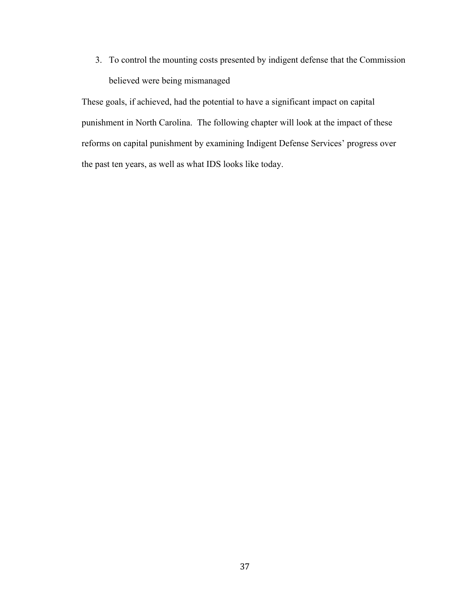3. To control the mounting costs presented by indigent defense that the Commission believed were being mismanaged

These goals, if achieved, had the potential to have a significant impact on capital punishment in North Carolina. The following chapter will look at the impact of these reforms on capital punishment by examining Indigent Defense Services' progress over the past ten years, as well as what IDS looks like today.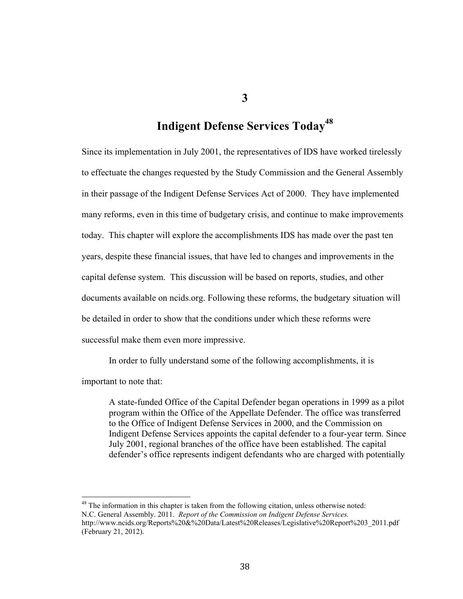**3**

# **Indigent Defense Services Today<sup>48</sup>**

Since its implementation in July 2001, the representatives of IDS have worked tirelessly to effectuate the changes requested by the Study Commission and the General Assembly in their passage of the Indigent Defense Services Act of 2000. They have implemented many reforms, even in this time of budgetary crisis, and continue to make improvements today. This chapter will explore the accomplishments IDS has made over the past ten years, despite these financial issues, that have led to changes and improvements in the capital defense system. This discussion will be based on reports, studies, and other documents available on ncids.org. Following these reforms, the budgetary situation will be detailed in order to show that the conditions under which these reforms were successful make them even more impressive.

In order to fully understand some of the following accomplishments, it is

important to note that:

A state-funded Office of the Capital Defender began operations in 1999 as a pilot program within the Office of the Appellate Defender. The office was transferred to the Office of Indigent Defense Services in 2000, and the Commission on Indigent Defense Services appoints the capital defender to a four-year term. Since July 2001, regional branches of the office have been established. The capital defender's office represents indigent defendants who are charged with potentially

<sup>48</sup> The information in this chapter is taken from the following citation, unless otherwise noted: N.C. General Assembly. 2011. *Report of the Commission on Indigent Defense Services.*  http://www.ncids.org/Reports%20&%20Data/Latest%20Releases/Legislative%20Report%203\_2011.pdf (February 21, 2012).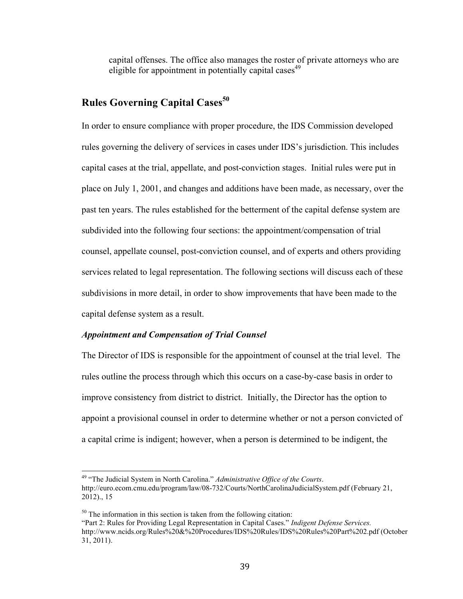capital offenses. The office also manages the roster of private attorneys who are eligible for appointment in potentially capital cases<sup> $49$ </sup>

# **Rules Governing Capital Cases<sup>50</sup>**

In order to ensure compliance with proper procedure, the IDS Commission developed rules governing the delivery of services in cases under IDS's jurisdiction. This includes capital cases at the trial, appellate, and post-conviction stages. Initial rules were put in place on July 1, 2001, and changes and additions have been made, as necessary, over the past ten years. The rules established for the betterment of the capital defense system are subdivided into the following four sections: the appointment/compensation of trial counsel, appellate counsel, post-conviction counsel, and of experts and others providing services related to legal representation. The following sections will discuss each of these subdivisions in more detail, in order to show improvements that have been made to the capital defense system as a result.

### *Appointment and Compensation of Trial Counsel*

The Director of IDS is responsible for the appointment of counsel at the trial level. The rules outline the process through which this occurs on a case-by-case basis in order to improve consistency from district to district. Initially, the Director has the option to appoint a provisional counsel in order to determine whether or not a person convicted of a capital crime is indigent; however, when a person is determined to be indigent, the

<sup>&</sup>lt;sup>49</sup> "The Judicial System in North Carolina." *Administrative Office of the Courts*. http://euro.ecom.cmu.edu/program/law/08-732/Courts/NorthCarolinaJudicialSystem.pdf (February 21, 2012)., 15

 $50$  The information in this section is taken from the following citation:

<sup>&</sup>quot;Part 2: Rules for Providing Legal Representation in Capital Cases." *Indigent Defense Services.* http://www.ncids.org/Rules%20&%20Procedures/IDS%20Rules/IDS%20Rules%20Part%202.pdf (October 31, 2011).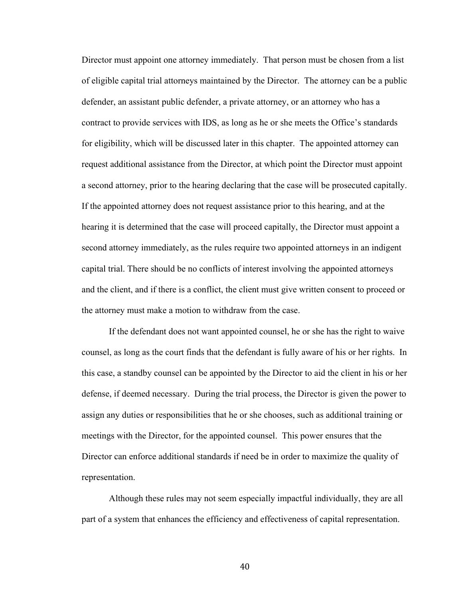Director must appoint one attorney immediately. That person must be chosen from a list of eligible capital trial attorneys maintained by the Director. The attorney can be a public defender, an assistant public defender, a private attorney, or an attorney who has a contract to provide services with IDS, as long as he or she meets the Office's standards for eligibility, which will be discussed later in this chapter. The appointed attorney can request additional assistance from the Director, at which point the Director must appoint a second attorney, prior to the hearing declaring that the case will be prosecuted capitally. If the appointed attorney does not request assistance prior to this hearing, and at the hearing it is determined that the case will proceed capitally, the Director must appoint a second attorney immediately, as the rules require two appointed attorneys in an indigent capital trial. There should be no conflicts of interest involving the appointed attorneys and the client, and if there is a conflict, the client must give written consent to proceed or the attorney must make a motion to withdraw from the case.

If the defendant does not want appointed counsel, he or she has the right to waive counsel, as long as the court finds that the defendant is fully aware of his or her rights. In this case, a standby counsel can be appointed by the Director to aid the client in his or her defense, if deemed necessary. During the trial process, the Director is given the power to assign any duties or responsibilities that he or she chooses, such as additional training or meetings with the Director, for the appointed counsel. This power ensures that the Director can enforce additional standards if need be in order to maximize the quality of representation.

Although these rules may not seem especially impactful individually, they are all part of a system that enhances the efficiency and effectiveness of capital representation.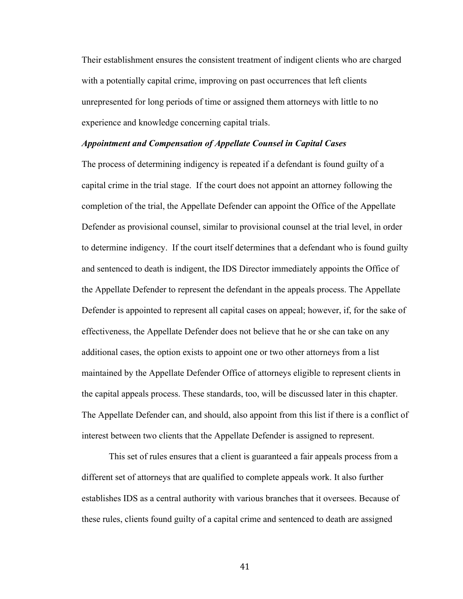Their establishment ensures the consistent treatment of indigent clients who are charged with a potentially capital crime, improving on past occurrences that left clients unrepresented for long periods of time or assigned them attorneys with little to no experience and knowledge concerning capital trials.

#### *Appointment and Compensation of Appellate Counsel in Capital Cases*

The process of determining indigency is repeated if a defendant is found guilty of a capital crime in the trial stage. If the court does not appoint an attorney following the completion of the trial, the Appellate Defender can appoint the Office of the Appellate Defender as provisional counsel, similar to provisional counsel at the trial level, in order to determine indigency. If the court itself determines that a defendant who is found guilty and sentenced to death is indigent, the IDS Director immediately appoints the Office of the Appellate Defender to represent the defendant in the appeals process. The Appellate Defender is appointed to represent all capital cases on appeal; however, if, for the sake of effectiveness, the Appellate Defender does not believe that he or she can take on any additional cases, the option exists to appoint one or two other attorneys from a list maintained by the Appellate Defender Office of attorneys eligible to represent clients in the capital appeals process. These standards, too, will be discussed later in this chapter. The Appellate Defender can, and should, also appoint from this list if there is a conflict of interest between two clients that the Appellate Defender is assigned to represent.

This set of rules ensures that a client is guaranteed a fair appeals process from a different set of attorneys that are qualified to complete appeals work. It also further establishes IDS as a central authority with various branches that it oversees. Because of these rules, clients found guilty of a capital crime and sentenced to death are assigned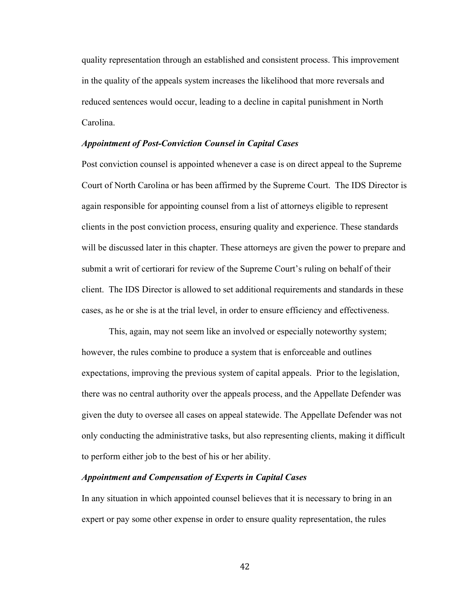quality representation through an established and consistent process. This improvement in the quality of the appeals system increases the likelihood that more reversals and reduced sentences would occur, leading to a decline in capital punishment in North Carolina.

#### *Appointment of Post-Conviction Counsel in Capital Cases*

Post conviction counsel is appointed whenever a case is on direct appeal to the Supreme Court of North Carolina or has been affirmed by the Supreme Court. The IDS Director is again responsible for appointing counsel from a list of attorneys eligible to represent clients in the post conviction process, ensuring quality and experience. These standards will be discussed later in this chapter. These attorneys are given the power to prepare and submit a writ of certiorari for review of the Supreme Court's ruling on behalf of their client. The IDS Director is allowed to set additional requirements and standards in these cases, as he or she is at the trial level, in order to ensure efficiency and effectiveness.

This, again, may not seem like an involved or especially noteworthy system; however, the rules combine to produce a system that is enforceable and outlines expectations, improving the previous system of capital appeals. Prior to the legislation, there was no central authority over the appeals process, and the Appellate Defender was given the duty to oversee all cases on appeal statewide. The Appellate Defender was not only conducting the administrative tasks, but also representing clients, making it difficult to perform either job to the best of his or her ability.

#### *Appointment and Compensation of Experts in Capital Cases*

In any situation in which appointed counsel believes that it is necessary to bring in an expert or pay some other expense in order to ensure quality representation, the rules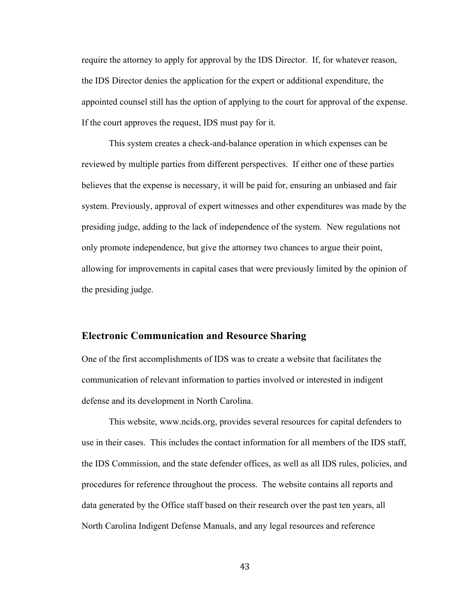require the attorney to apply for approval by the IDS Director. If, for whatever reason, the IDS Director denies the application for the expert or additional expenditure, the appointed counsel still has the option of applying to the court for approval of the expense. If the court approves the request, IDS must pay for it.

This system creates a check-and-balance operation in which expenses can be reviewed by multiple parties from different perspectives. If either one of these parties believes that the expense is necessary, it will be paid for, ensuring an unbiased and fair system. Previously, approval of expert witnesses and other expenditures was made by the presiding judge, adding to the lack of independence of the system. New regulations not only promote independence, but give the attorney two chances to argue their point, allowing for improvements in capital cases that were previously limited by the opinion of the presiding judge.

### **Electronic Communication and Resource Sharing**

One of the first accomplishments of IDS was to create a website that facilitates the communication of relevant information to parties involved or interested in indigent defense and its development in North Carolina.

This website, www.ncids.org, provides several resources for capital defenders to use in their cases. This includes the contact information for all members of the IDS staff, the IDS Commission, and the state defender offices, as well as all IDS rules, policies, and procedures for reference throughout the process. The website contains all reports and data generated by the Office staff based on their research over the past ten years, all North Carolina Indigent Defense Manuals, and any legal resources and reference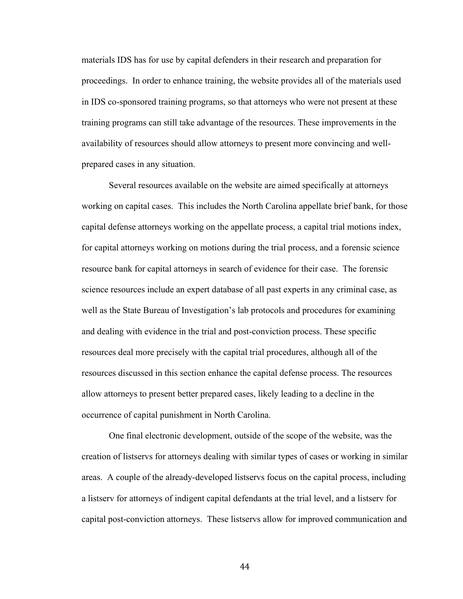materials IDS has for use by capital defenders in their research and preparation for proceedings. In order to enhance training, the website provides all of the materials used in IDS co-sponsored training programs, so that attorneys who were not present at these training programs can still take advantage of the resources. These improvements in the availability of resources should allow attorneys to present more convincing and wellprepared cases in any situation.

Several resources available on the website are aimed specifically at attorneys working on capital cases. This includes the North Carolina appellate brief bank, for those capital defense attorneys working on the appellate process, a capital trial motions index, for capital attorneys working on motions during the trial process, and a forensic science resource bank for capital attorneys in search of evidence for their case. The forensic science resources include an expert database of all past experts in any criminal case, as well as the State Bureau of Investigation's lab protocols and procedures for examining and dealing with evidence in the trial and post-conviction process. These specific resources deal more precisely with the capital trial procedures, although all of the resources discussed in this section enhance the capital defense process. The resources allow attorneys to present better prepared cases, likely leading to a decline in the occurrence of capital punishment in North Carolina.

One final electronic development, outside of the scope of the website, was the creation of listservs for attorneys dealing with similar types of cases or working in similar areas. A couple of the already-developed listservs focus on the capital process, including a listserv for attorneys of indigent capital defendants at the trial level, and a listserv for capital post-conviction attorneys. These listservs allow for improved communication and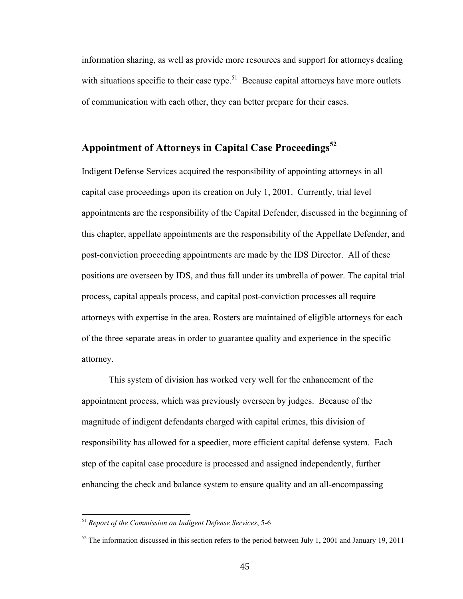information sharing, as well as provide more resources and support for attorneys dealing with situations specific to their case type.<sup>51</sup> Because capital attorneys have more outlets of communication with each other, they can better prepare for their cases.

# **Appointment of Attorneys in Capital Case Proceedings<sup>52</sup>**

Indigent Defense Services acquired the responsibility of appointing attorneys in all capital case proceedings upon its creation on July 1, 2001. Currently, trial level appointments are the responsibility of the Capital Defender, discussed in the beginning of this chapter, appellate appointments are the responsibility of the Appellate Defender, and post-conviction proceeding appointments are made by the IDS Director. All of these positions are overseen by IDS, and thus fall under its umbrella of power. The capital trial process, capital appeals process, and capital post-conviction processes all require attorneys with expertise in the area. Rosters are maintained of eligible attorneys for each of the three separate areas in order to guarantee quality and experience in the specific attorney.

This system of division has worked very well for the enhancement of the appointment process, which was previously overseen by judges. Because of the magnitude of indigent defendants charged with capital crimes, this division of responsibility has allowed for a speedier, more efficient capital defense system. Each step of the capital case procedure is processed and assigned independently, further enhancing the check and balance system to ensure quality and an all-encompassing

<sup>&</sup>lt;sup>51</sup> Report of the Commission on Indigent Defense Services, 5-6

 $52$  The information discussed in this section refers to the period between July 1, 2001 and January 19, 2011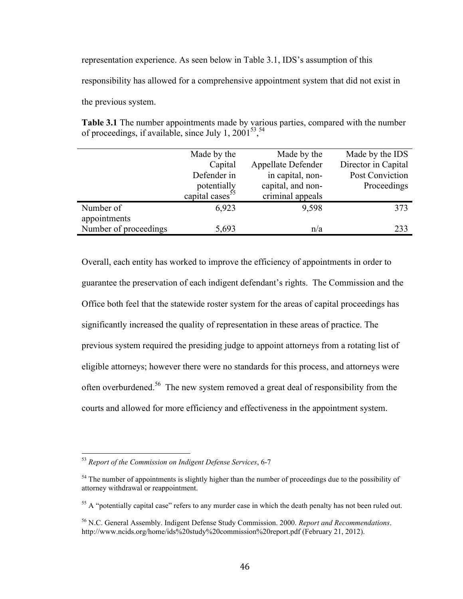representation experience. As seen below in Table 3.1, IDS's assumption of this

responsibility has allowed for a comprehensive appointment system that did not exist in

the previous system.

**Table 3.1** The number appointments made by various parties, compared with the number of proceedings, if available, since July 1,  $2001^{53}$ ,  $54$ 

|                       | Made by the                 | Made by the        | Made by the IDS     |
|-----------------------|-----------------------------|--------------------|---------------------|
|                       | Capital                     | Appellate Defender | Director in Capital |
|                       | Defender in                 | in capital, non-   | Post Conviction     |
|                       | potentially                 | capital, and non-  | Proceedings         |
|                       | capital cases <sup>55</sup> | criminal appeals   |                     |
| Number of             | 6,923                       | 9,598              | 373                 |
| appointments          |                             |                    |                     |
| Number of proceedings | 5,693                       | n/a                | 233                 |

Overall, each entity has worked to improve the efficiency of appointments in order to guarantee the preservation of each indigent defendant's rights. The Commission and the Office both feel that the statewide roster system for the areas of capital proceedings has significantly increased the quality of representation in these areas of practice. The previous system required the presiding judge to appoint attorneys from a rotating list of eligible attorneys; however there were no standards for this process, and attorneys were often overburdened.56 The new system removed a great deal of responsibility from the courts and allowed for more efficiency and effectiveness in the appointment system.

<sup>&</sup>lt;sup>53</sup> Report of the Commission on Indigent Defense Services, 6-7

<sup>&</sup>lt;sup>54</sup> The number of appointments is slightly higher than the number of proceedings due to the possibility of attorney withdrawal or reappointment.

<sup>&</sup>lt;sup>55</sup> A "potentially capital case" refers to any murder case in which the death penalty has not been ruled out.

<sup>56</sup> N.C. General Assembly. Indigent Defense Study Commission. 2000. *Report and Recommendations*. http://www.ncids.org/home/ids%20study%20commission%20report.pdf (February 21, 2012).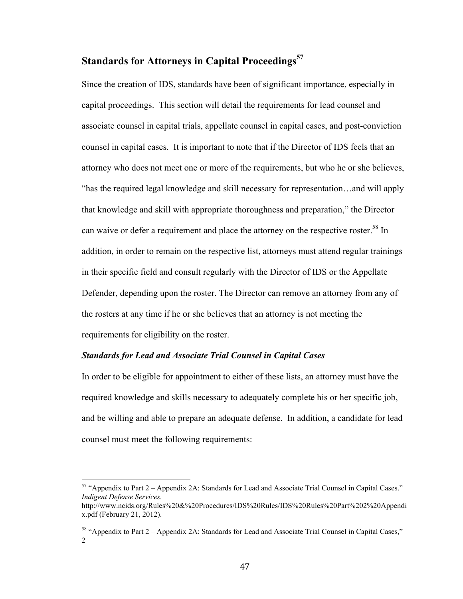# **Standards for Attorneys in Capital Proceedings<sup>57</sup>**

Since the creation of IDS, standards have been of significant importance, especially in capital proceedings. This section will detail the requirements for lead counsel and associate counsel in capital trials, appellate counsel in capital cases, and post-conviction counsel in capital cases. It is important to note that if the Director of IDS feels that an attorney who does not meet one or more of the requirements, but who he or she believes, "has the required legal knowledge and skill necessary for representation…and will apply that knowledge and skill with appropriate thoroughness and preparation," the Director can waive or defer a requirement and place the attorney on the respective roster.<sup>58</sup> In addition, in order to remain on the respective list, attorneys must attend regular trainings in their specific field and consult regularly with the Director of IDS or the Appellate Defender, depending upon the roster. The Director can remove an attorney from any of the rosters at any time if he or she believes that an attorney is not meeting the requirements for eligibility on the roster.

### *Standards for Lead and Associate Trial Counsel in Capital Cases*

In order to be eligible for appointment to either of these lists, an attorney must have the required knowledge and skills necessary to adequately complete his or her specific job, and be willing and able to prepare an adequate defense. In addition, a candidate for lead counsel must meet the following requirements:

 $157$  "Appendix to Part 2 – Appendix 2A: Standards for Lead and Associate Trial Counsel in Capital Cases." *Indigent Defense Services.* 

http://www.ncids.org/Rules%20&%20Procedures/IDS%20Rules/IDS%20Rules%20Part%202%20Appendi x.pdf (February 21, 2012).

<sup>&</sup>lt;sup>58</sup> "Appendix to Part 2 – Appendix 2A: Standards for Lead and Associate Trial Counsel in Capital Cases," 2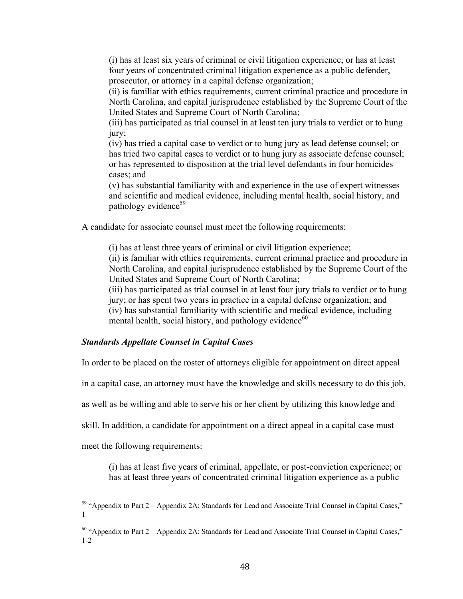(i) has at least six years of criminal or civil litigation experience; or has at least four years of concentrated criminal litigation experience as a public defender, prosecutor, or attorney in a capital defense organization;

(ii) is familiar with ethics requirements, current criminal practice and procedure in North Carolina, and capital jurisprudence established by the Supreme Court of the United States and Supreme Court of North Carolina;

(iii) has participated as trial counsel in at least ten jury trials to verdict or to hung jury;

(iv) has tried a capital case to verdict or to hung jury as lead defense counsel; or has tried two capital cases to verdict or to hung jury as associate defense counsel; or has represented to disposition at the trial level defendants in four homicides cases; and

(v) has substantial familiarity with and experience in the use of expert witnesses and scientific and medical evidence, including mental health, social history, and pathology evidence<sup>59</sup>

A candidate for associate counsel must meet the following requirements:

(i) has at least three years of criminal or civil litigation experience;

(ii) is familiar with ethics requirements, current criminal practice and procedure in North Carolina, and capital jurisprudence established by the Supreme Court of the United States and Supreme Court of North Carolina;

(iii) has participated as trial counsel in at least four jury trials to verdict or to hung jury; or has spent two years in practice in a capital defense organization; and (iv) has substantial familiarity with scientific and medical evidence, including mental health, social history, and pathology evidence $^{60}$ 

### *Standards Appellate Counsel in Capital Cases*

In order to be placed on the roster of attorneys eligible for appointment on direct appeal

in a capital case, an attorney must have the knowledge and skills necessary to do this job,

as well as be willing and able to serve his or her client by utilizing this knowledge and

skill. In addition, a candidate for appointment on a direct appeal in a capital case must

meet the following requirements:

(i) has at least five years of criminal, appellate, or post-conviction experience; or has at least three years of concentrated criminal litigation experience as a public

 $59$  "Appendix to Part  $2 -$  Appendix 2A: Standards for Lead and Associate Trial Counsel in Capital Cases," 1

<sup>60 &</sup>quot;Appendix to Part 2 – Appendix 2A: Standards for Lead and Associate Trial Counsel in Capital Cases," 1-2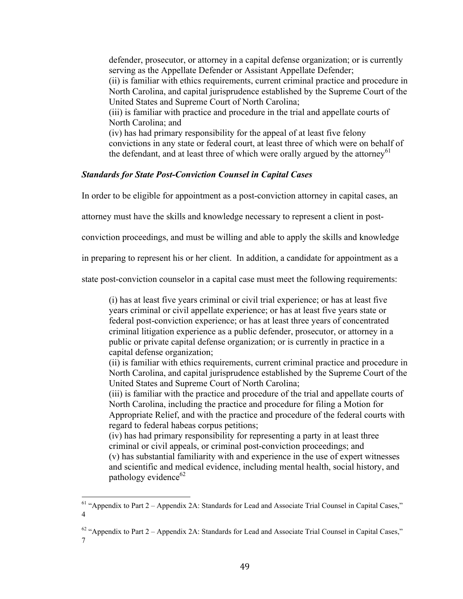defender, prosecutor, or attorney in a capital defense organization; or is currently serving as the Appellate Defender or Assistant Appellate Defender;

(ii) is familiar with ethics requirements, current criminal practice and procedure in North Carolina, and capital jurisprudence established by the Supreme Court of the United States and Supreme Court of North Carolina;

(iii) is familiar with practice and procedure in the trial and appellate courts of North Carolina; and

(iv) has had primary responsibility for the appeal of at least five felony convictions in any state or federal court, at least three of which were on behalf of the defendant, and at least three of which were orally argued by the attorney<sup>61</sup>

### *Standards for State Post-Conviction Counsel in Capital Cases*

In order to be eligible for appointment as a post-conviction attorney in capital cases, an

attorney must have the skills and knowledge necessary to represent a client in post-

conviction proceedings, and must be willing and able to apply the skills and knowledge

in preparing to represent his or her client. In addition, a candidate for appointment as a

state post-conviction counselor in a capital case must meet the following requirements:

(i) has at least five years criminal or civil trial experience; or has at least five years criminal or civil appellate experience; or has at least five years state or federal post-conviction experience; or has at least three years of concentrated criminal litigation experience as a public defender, prosecutor, or attorney in a public or private capital defense organization; or is currently in practice in a capital defense organization;

(ii) is familiar with ethics requirements, current criminal practice and procedure in North Carolina, and capital jurisprudence established by the Supreme Court of the United States and Supreme Court of North Carolina;

(iii) is familiar with the practice and procedure of the trial and appellate courts of North Carolina, including the practice and procedure for filing a Motion for Appropriate Relief, and with the practice and procedure of the federal courts with regard to federal habeas corpus petitions;

(iv) has had primary responsibility for representing a party in at least three criminal or civil appeals, or criminal post-conviction proceedings; and (v) has substantial familiarity with and experience in the use of expert witnesses and scientific and medical evidence, including mental health, social history, and pathology evidence $62$ 

 $<sup>61</sup>$  "Appendix to Part 2 – Appendix 2A: Standards for Lead and Associate Trial Counsel in Capital Cases,"</sup> 4

 $62$  "Appendix to Part 2 – Appendix 2A: Standards for Lead and Associate Trial Counsel in Capital Cases," 7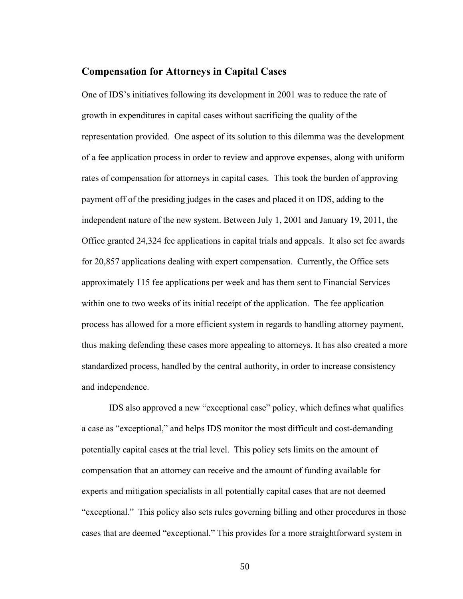### **Compensation for Attorneys in Capital Cases**

One of IDS's initiatives following its development in 2001 was to reduce the rate of growth in expenditures in capital cases without sacrificing the quality of the representation provided. One aspect of its solution to this dilemma was the development of a fee application process in order to review and approve expenses, along with uniform rates of compensation for attorneys in capital cases. This took the burden of approving payment off of the presiding judges in the cases and placed it on IDS, adding to the independent nature of the new system. Between July 1, 2001 and January 19, 2011, the Office granted 24,324 fee applications in capital trials and appeals. It also set fee awards for 20,857 applications dealing with expert compensation. Currently, the Office sets approximately 115 fee applications per week and has them sent to Financial Services within one to two weeks of its initial receipt of the application. The fee application process has allowed for a more efficient system in regards to handling attorney payment, thus making defending these cases more appealing to attorneys. It has also created a more standardized process, handled by the central authority, in order to increase consistency and independence.

IDS also approved a new "exceptional case" policy, which defines what qualifies a case as "exceptional," and helps IDS monitor the most difficult and cost-demanding potentially capital cases at the trial level. This policy sets limits on the amount of compensation that an attorney can receive and the amount of funding available for experts and mitigation specialists in all potentially capital cases that are not deemed "exceptional." This policy also sets rules governing billing and other procedures in those cases that are deemed "exceptional." This provides for a more straightforward system in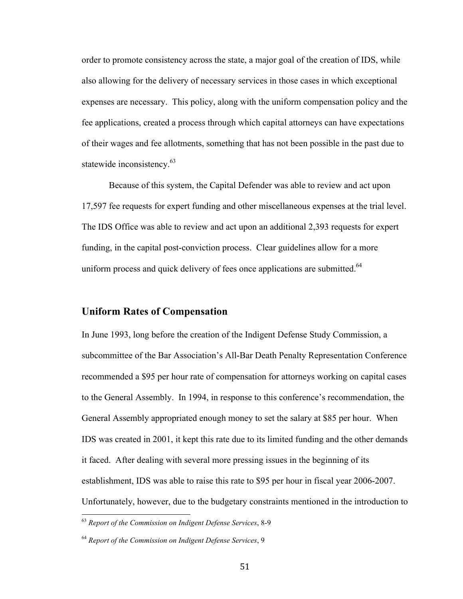order to promote consistency across the state, a major goal of the creation of IDS, while also allowing for the delivery of necessary services in those cases in which exceptional expenses are necessary. This policy, along with the uniform compensation policy and the fee applications, created a process through which capital attorneys can have expectations of their wages and fee allotments, something that has not been possible in the past due to statewide inconsistency.<sup>63</sup>

Because of this system, the Capital Defender was able to review and act upon 17,597 fee requests for expert funding and other miscellaneous expenses at the trial level. The IDS Office was able to review and act upon an additional 2,393 requests for expert funding, in the capital post-conviction process. Clear guidelines allow for a more uniform process and quick delivery of fees once applications are submitted.<sup>64</sup>

## **Uniform Rates of Compensation**

In June 1993, long before the creation of the Indigent Defense Study Commission, a subcommittee of the Bar Association's All-Bar Death Penalty Representation Conference recommended a \$95 per hour rate of compensation for attorneys working on capital cases to the General Assembly. In 1994, in response to this conference's recommendation, the General Assembly appropriated enough money to set the salary at \$85 per hour. When IDS was created in 2001, it kept this rate due to its limited funding and the other demands it faced. After dealing with several more pressing issues in the beginning of its establishment, IDS was able to raise this rate to \$95 per hour in fiscal year 2006-2007. Unfortunately, however, due to the budgetary constraints mentioned in the introduction to

<sup>&</sup>lt;sup>63</sup> Report of the Commission on Indigent Defense Services, 8-9

<sup>64</sup> *Report of the Commission on Indigent Defense Services*, 9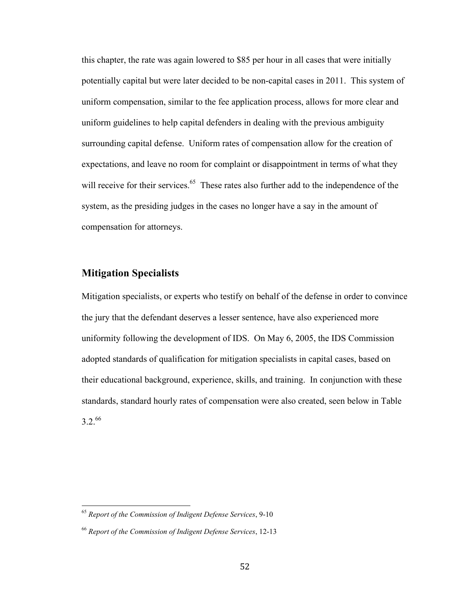this chapter, the rate was again lowered to \$85 per hour in all cases that were initially potentially capital but were later decided to be non-capital cases in 2011. This system of uniform compensation, similar to the fee application process, allows for more clear and uniform guidelines to help capital defenders in dealing with the previous ambiguity surrounding capital defense. Uniform rates of compensation allow for the creation of expectations, and leave no room for complaint or disappointment in terms of what they will receive for their services.<sup>65</sup> These rates also further add to the independence of the system, as the presiding judges in the cases no longer have a say in the amount of compensation for attorneys.

# **Mitigation Specialists**

Mitigation specialists, or experts who testify on behalf of the defense in order to convince the jury that the defendant deserves a lesser sentence, have also experienced more uniformity following the development of IDS. On May 6, 2005, the IDS Commission adopted standards of qualification for mitigation specialists in capital cases, based on their educational background, experience, skills, and training. In conjunction with these standards, standard hourly rates of compensation were also created, seen below in Table 3.2. 66

<sup>&</sup>lt;sup>65</sup> Report of the Commission of Indigent Defense Services, 9-10

<sup>66</sup> *Report of the Commission of Indigent Defense Services*, 12-13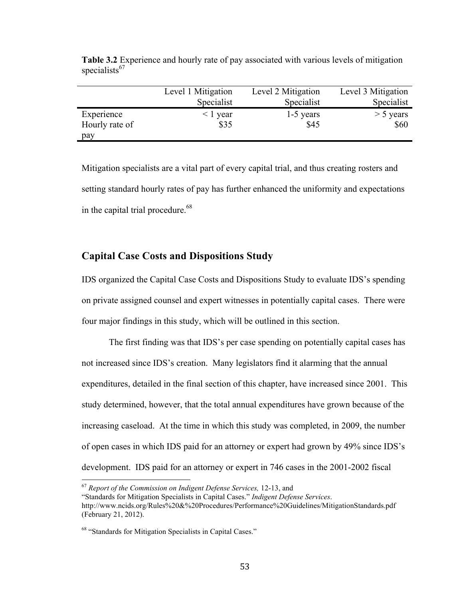|                | Level 1 Mitigation<br>Specialist | Level 2 Mitigation<br>Specialist | Level 3 Mitigation<br>Specialist |
|----------------|----------------------------------|----------------------------------|----------------------------------|
| Experience     | < 1 year                         | 1-5 years                        | $>$ 5 years                      |
| Hourly rate of | \$35                             | \$45                             | \$60                             |
| pay            |                                  |                                  |                                  |

**Table 3.2** Experience and hourly rate of pay associated with various levels of mitigation specialists $67$ 

Mitigation specialists are a vital part of every capital trial, and thus creating rosters and setting standard hourly rates of pay has further enhanced the uniformity and expectations in the capital trial procedure.<sup>68</sup>

## **Capital Case Costs and Dispositions Study**

IDS organized the Capital Case Costs and Dispositions Study to evaluate IDS's spending on private assigned counsel and expert witnesses in potentially capital cases. There were four major findings in this study, which will be outlined in this section.

The first finding was that IDS's per case spending on potentially capital cases has not increased since IDS's creation. Many legislators find it alarming that the annual expenditures, detailed in the final section of this chapter, have increased since 2001. This study determined, however, that the total annual expenditures have grown because of the increasing caseload. At the time in which this study was completed, in 2009, the number of open cases in which IDS paid for an attorney or expert had grown by 49% since IDS's development. IDS paid for an attorney or expert in 746 cases in the 2001-2002 fiscal

<sup>&</sup>lt;sup>67</sup> Report of the Commission on Indigent Defense Services, 12-13, and

<sup>&</sup>quot;Standards for Mitigation Specialists in Capital Cases." *Indigent Defense Services*. http://www.ncids.org/Rules%20&%20Procedures/Performance%20Guidelines/MitigationStandards.pdf (February 21, 2012).

<sup>&</sup>lt;sup>68</sup> "Standards for Mitigation Specialists in Capital Cases."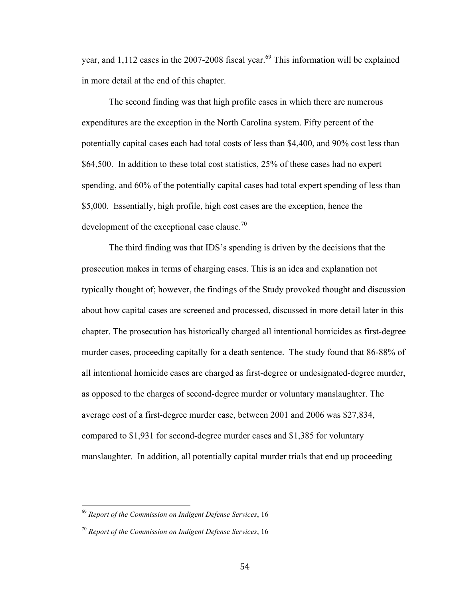year, and 1,112 cases in the 2007-2008 fiscal year.<sup>69</sup> This information will be explained in more detail at the end of this chapter.

The second finding was that high profile cases in which there are numerous expenditures are the exception in the North Carolina system. Fifty percent of the potentially capital cases each had total costs of less than \$4,400, and 90% cost less than \$64,500. In addition to these total cost statistics, 25% of these cases had no expert spending, and 60% of the potentially capital cases had total expert spending of less than \$5,000. Essentially, high profile, high cost cases are the exception, hence the development of the exceptional case clause.<sup>70</sup>

The third finding was that IDS's spending is driven by the decisions that the prosecution makes in terms of charging cases. This is an idea and explanation not typically thought of; however, the findings of the Study provoked thought and discussion about how capital cases are screened and processed, discussed in more detail later in this chapter. The prosecution has historically charged all intentional homicides as first-degree murder cases, proceeding capitally for a death sentence. The study found that 86-88% of all intentional homicide cases are charged as first-degree or undesignated-degree murder, as opposed to the charges of second-degree murder or voluntary manslaughter. The average cost of a first-degree murder case, between 2001 and 2006 was \$27,834, compared to \$1,931 for second-degree murder cases and \$1,385 for voluntary manslaughter. In addition, all potentially capital murder trials that end up proceeding

<sup>&</sup>lt;sup>69</sup> Report of the Commission on Indigent Defense Services, 16

<sup>70</sup> *Report of the Commission on Indigent Defense Services*, 16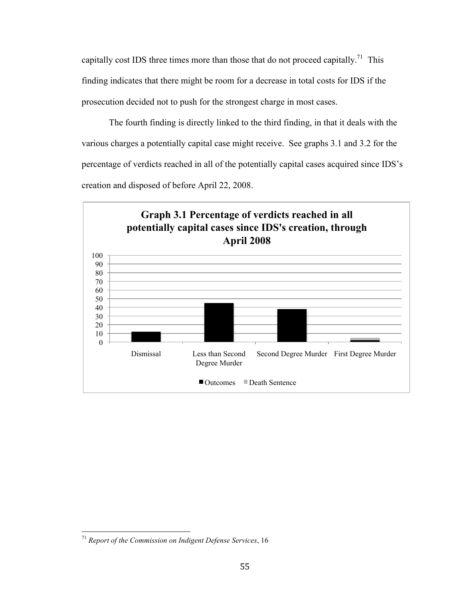capitally cost IDS three times more than those that do not proceed capitally.<sup>71</sup> This finding indicates that there might be room for a decrease in total costs for IDS if the prosecution decided not to push for the strongest charge in most cases.

The fourth finding is directly linked to the third finding, in that it deals with the various charges a potentially capital case might receive. See graphs 3.1 and 3.2 for the percentage of verdicts reached in all of the potentially capital cases acquired since IDS's creation and disposed of before April 22, 2008.



<sup>&</sup>lt;sup>71</sup> Report of the Commission on Indigent Defense Services, 16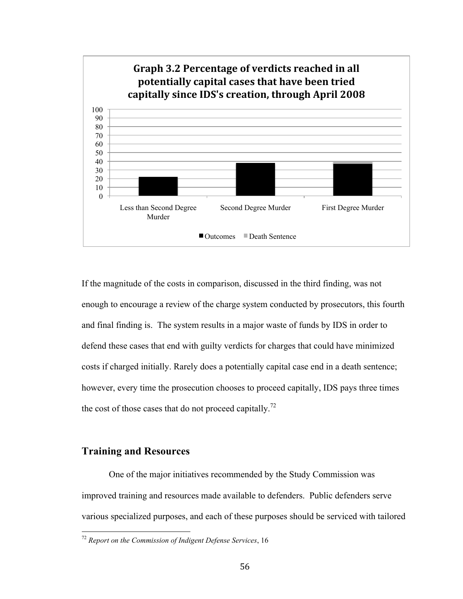

If the magnitude of the costs in comparison, discussed in the third finding, was not enough to encourage a review of the charge system conducted by prosecutors, this fourth and final finding is. The system results in a major waste of funds by IDS in order to defend these cases that end with guilty verdicts for charges that could have minimized costs if charged initially. Rarely does a potentially capital case end in a death sentence; however, every time the prosecution chooses to proceed capitally, IDS pays three times the cost of those cases that do not proceed capitally.<sup>72</sup>

## **Training and Resources**

One of the major initiatives recommended by the Study Commission was improved training and resources made available to defenders. Public defenders serve various specialized purposes, and each of these purposes should be serviced with tailored

<sup>&</sup>lt;sup>72</sup> Report on the Commission of Indigent Defense Services, 16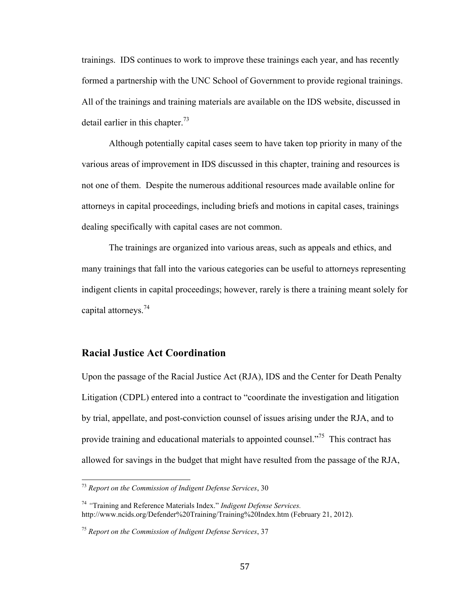trainings. IDS continues to work to improve these trainings each year, and has recently formed a partnership with the UNC School of Government to provide regional trainings. All of the trainings and training materials are available on the IDS website, discussed in detail earlier in this chapter.<sup>73</sup>

Although potentially capital cases seem to have taken top priority in many of the various areas of improvement in IDS discussed in this chapter, training and resources is not one of them. Despite the numerous additional resources made available online for attorneys in capital proceedings, including briefs and motions in capital cases, trainings dealing specifically with capital cases are not common.

The trainings are organized into various areas, such as appeals and ethics, and many trainings that fall into the various categories can be useful to attorneys representing indigent clients in capital proceedings; however, rarely is there a training meant solely for capital attorneys.74

### **Racial Justice Act Coordination**

Upon the passage of the Racial Justice Act (RJA), IDS and the Center for Death Penalty Litigation (CDPL) entered into a contract to "coordinate the investigation and litigation by trial, appellate, and post-conviction counsel of issues arising under the RJA, and to provide training and educational materials to appointed counsel."<sup>75</sup> This contract has allowed for savings in the budget that might have resulted from the passage of the RJA,

<sup>&</sup>lt;sup>73</sup> Report on the Commission of Indigent Defense Services, 30

<sup>74</sup> *"*Training and Reference Materials Index." *Indigent Defense Services.*  http://www.ncids.org/Defender%20Training/Training%20Index.htm (February 21, 2012).

<sup>75</sup> *Report on the Commission of Indigent Defense Services*, 37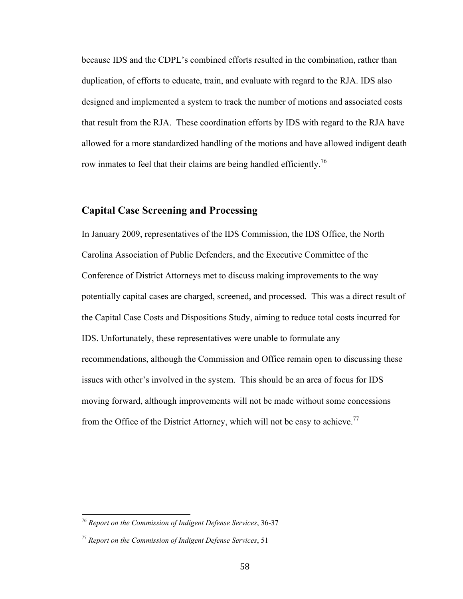because IDS and the CDPL's combined efforts resulted in the combination, rather than duplication, of efforts to educate, train, and evaluate with regard to the RJA. IDS also designed and implemented a system to track the number of motions and associated costs that result from the RJA. These coordination efforts by IDS with regard to the RJA have allowed for a more standardized handling of the motions and have allowed indigent death row inmates to feel that their claims are being handled efficiently.<sup>76</sup>

### **Capital Case Screening and Processing**

In January 2009, representatives of the IDS Commission, the IDS Office, the North Carolina Association of Public Defenders, and the Executive Committee of the Conference of District Attorneys met to discuss making improvements to the way potentially capital cases are charged, screened, and processed. This was a direct result of the Capital Case Costs and Dispositions Study, aiming to reduce total costs incurred for IDS. Unfortunately, these representatives were unable to formulate any recommendations, although the Commission and Office remain open to discussing these issues with other's involved in the system. This should be an area of focus for IDS moving forward, although improvements will not be made without some concessions from the Office of the District Attorney, which will not be easy to achieve.<sup>77</sup>

<sup>&</sup>lt;sup>76</sup> Report on the Commission of Indigent Defense Services, 36-37

<sup>77</sup> *Report on the Commission of Indigent Defense Services*, 51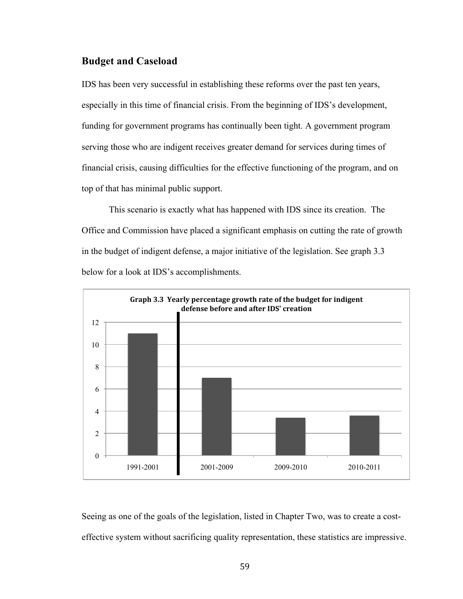## **Budget and Caseload**

IDS has been very successful in establishing these reforms over the past ten years, especially in this time of financial crisis. From the beginning of IDS's development, funding for government programs has continually been tight. A government program serving those who are indigent receives greater demand for services during times of financial crisis, causing difficulties for the effective functioning of the program, and on top of that has minimal public support.

This scenario is exactly what has happened with IDS since its creation. The Office and Commission have placed a significant emphasis on cutting the rate of growth in the budget of indigent defense, a major initiative of the legislation. See graph 3.3 below for a look at IDS's accomplishments.



Seeing as one of the goals of the legislation, listed in Chapter Two, was to create a costeffective system without sacrificing quality representation, these statistics are impressive.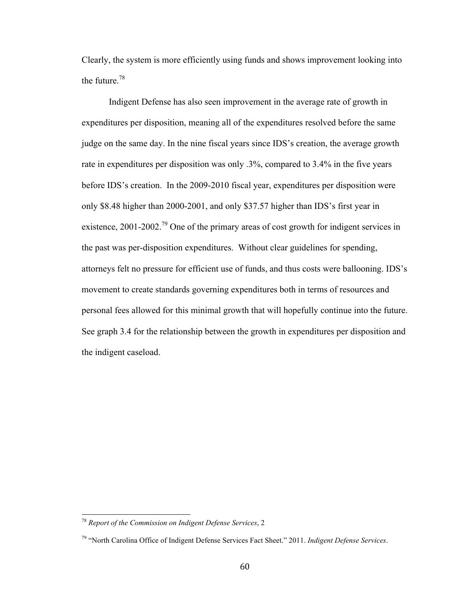Clearly, the system is more efficiently using funds and shows improvement looking into the future.78

Indigent Defense has also seen improvement in the average rate of growth in expenditures per disposition, meaning all of the expenditures resolved before the same judge on the same day. In the nine fiscal years since IDS's creation, the average growth rate in expenditures per disposition was only .3%, compared to 3.4% in the five years before IDS's creation. In the 2009-2010 fiscal year, expenditures per disposition were only \$8.48 higher than 2000-2001, and only \$37.57 higher than IDS's first year in existence, 2001-2002.<sup>79</sup> One of the primary areas of cost growth for indigent services in the past was per-disposition expenditures. Without clear guidelines for spending, attorneys felt no pressure for efficient use of funds, and thus costs were ballooning. IDS's movement to create standards governing expenditures both in terms of resources and personal fees allowed for this minimal growth that will hopefully continue into the future. See graph 3.4 for the relationship between the growth in expenditures per disposition and the indigent caseload.

<sup>&</sup>lt;sup>78</sup> Report of the Commission on Indigent Defense Services, 2

<sup>79 &</sup>quot;North Carolina Office of Indigent Defense Services Fact Sheet." 2011. *Indigent Defense Services*.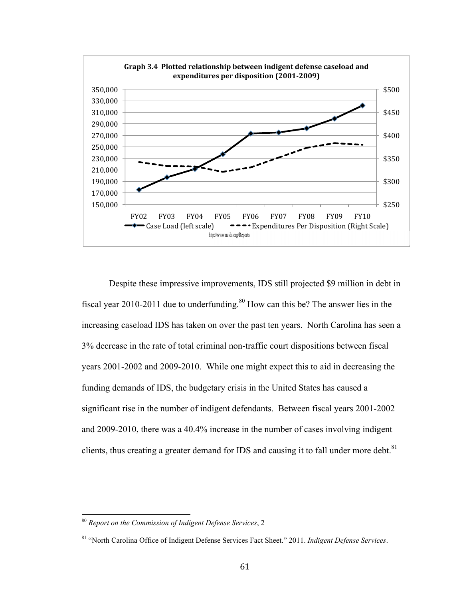

Despite these impressive improvements, IDS still projected \$9 million in debt in fiscal year 2010-2011 due to underfunding.<sup>80</sup> How can this be? The answer lies in the increasing caseload IDS has taken on over the past ten years. North Carolina has seen a 3% decrease in the rate of total criminal non-traffic court dispositions between fiscal years 2001-2002 and 2009-2010. While one might expect this to aid in decreasing the funding demands of IDS, the budgetary crisis in the United States has caused a significant rise in the number of indigent defendants. Between fiscal years 2001-2002 and 2009-2010, there was a 40.4% increase in the number of cases involving indigent clients, thus creating a greater demand for IDS and causing it to fall under more debt. $81$ 

<sup>&</sup>lt;sup>80</sup> Report on the Commission of Indigent Defense Services, 2

<sup>81 &</sup>quot;North Carolina Office of Indigent Defense Services Fact Sheet." 2011. *Indigent Defense Services*.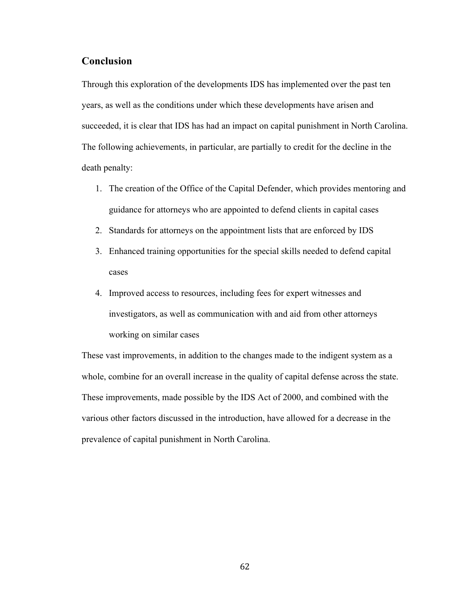## **Conclusion**

Through this exploration of the developments IDS has implemented over the past ten years, as well as the conditions under which these developments have arisen and succeeded, it is clear that IDS has had an impact on capital punishment in North Carolina. The following achievements, in particular, are partially to credit for the decline in the death penalty:

- 1. The creation of the Office of the Capital Defender, which provides mentoring and guidance for attorneys who are appointed to defend clients in capital cases
- 2. Standards for attorneys on the appointment lists that are enforced by IDS
- 3. Enhanced training opportunities for the special skills needed to defend capital cases
- 4. Improved access to resources, including fees for expert witnesses and investigators, as well as communication with and aid from other attorneys working on similar cases

These vast improvements, in addition to the changes made to the indigent system as a whole, combine for an overall increase in the quality of capital defense across the state. These improvements, made possible by the IDS Act of 2000, and combined with the various other factors discussed in the introduction, have allowed for a decrease in the prevalence of capital punishment in North Carolina.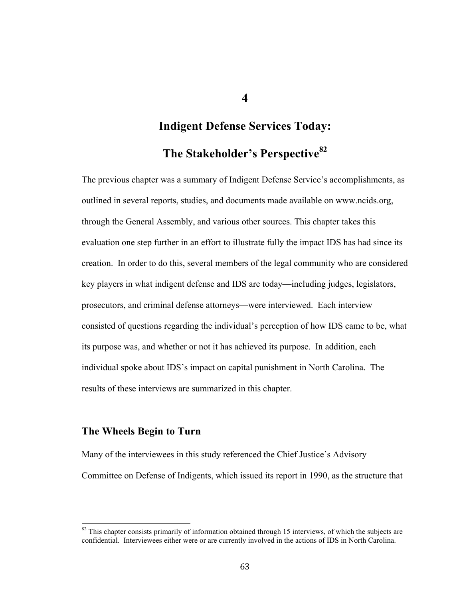**Indigent Defense Services Today: The Stakeholder's Perspective82**

The previous chapter was a summary of Indigent Defense Service's accomplishments, as outlined in several reports, studies, and documents made available on www.ncids.org, through the General Assembly, and various other sources. This chapter takes this evaluation one step further in an effort to illustrate fully the impact IDS has had since its creation. In order to do this, several members of the legal community who are considered key players in what indigent defense and IDS are today—including judges, legislators, prosecutors, and criminal defense attorneys—were interviewed. Each interview consisted of questions regarding the individual's perception of how IDS came to be, what its purpose was, and whether or not it has achieved its purpose. In addition, each individual spoke about IDS's impact on capital punishment in North Carolina. The results of these interviews are summarized in this chapter.

### **The Wheels Begin to Turn**

Many of the interviewees in this study referenced the Chief Justice's Advisory Committee on Defense of Indigents, which issued its report in 1990, as the structure that

<sup>&</sup>lt;sup>82</sup> This chapter consists primarily of information obtained through 15 interviews, of which the subjects are confidential. Interviewees either were or are currently involved in the actions of IDS in North Carolina.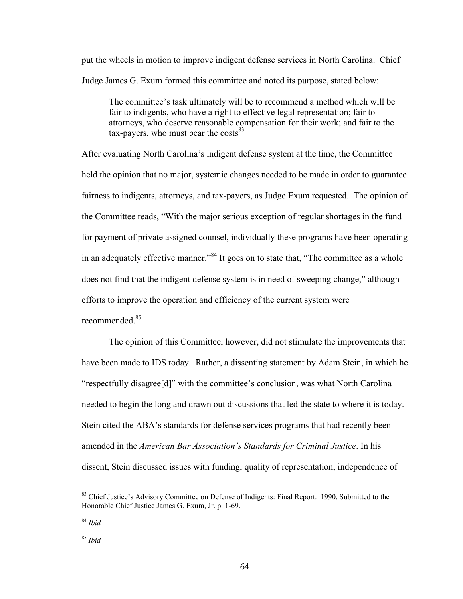put the wheels in motion to improve indigent defense services in North Carolina. Chief Judge James G. Exum formed this committee and noted its purpose, stated below:

The committee's task ultimately will be to recommend a method which will be fair to indigents, who have a right to effective legal representation; fair to attorneys, who deserve reasonable compensation for their work; and fair to the tax-payers, who must bear the costs $83$ 

After evaluating North Carolina's indigent defense system at the time, the Committee held the opinion that no major, systemic changes needed to be made in order to guarantee fairness to indigents, attorneys, and tax-payers, as Judge Exum requested. The opinion of the Committee reads, "With the major serious exception of regular shortages in the fund for payment of private assigned counsel, individually these programs have been operating in an adequately effective manner."<sup>84</sup> It goes on to state that, "The committee as a whole does not find that the indigent defense system is in need of sweeping change," although efforts to improve the operation and efficiency of the current system were recommended<sup>85</sup>

The opinion of this Committee, however, did not stimulate the improvements that have been made to IDS today. Rather, a dissenting statement by Adam Stein, in which he "respectfully disagree[d]" with the committee's conclusion, was what North Carolina needed to begin the long and drawn out discussions that led the state to where it is today. Stein cited the ABA's standards for defense services programs that had recently been amended in the *American Bar Association's Standards for Criminal Justice*. In his dissent, Stein discussed issues with funding, quality of representation, independence of

<sup>&</sup>lt;sup>83</sup> Chief Justice's Advisory Committee on Defense of Indigents: Final Report. 1990. Submitted to the Honorable Chief Justice James G. Exum, Jr. p. 1-69.

<sup>84</sup> *Ibid*

<sup>85</sup> *Ibid*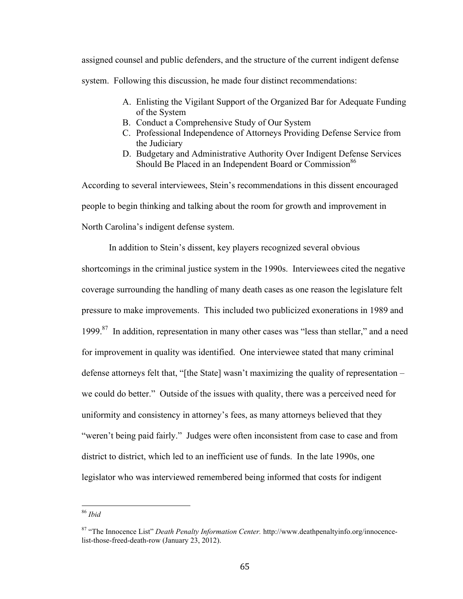assigned counsel and public defenders, and the structure of the current indigent defense system. Following this discussion, he made four distinct recommendations:

- A. Enlisting the Vigilant Support of the Organized Bar for Adequate Funding of the System
- B. Conduct a Comprehensive Study of Our System
- C. Professional Independence of Attorneys Providing Defense Service from the Judiciary
- D. Budgetary and Administrative Authority Over Indigent Defense Services Should Be Placed in an Independent Board or Commission<sup>86</sup>

According to several interviewees, Stein's recommendations in this dissent encouraged people to begin thinking and talking about the room for growth and improvement in North Carolina's indigent defense system.

In addition to Stein's dissent, key players recognized several obvious

shortcomings in the criminal justice system in the 1990s. Interviewees cited the negative coverage surrounding the handling of many death cases as one reason the legislature felt pressure to make improvements. This included two publicized exonerations in 1989 and 1999.<sup>87</sup> In addition, representation in many other cases was "less than stellar," and a need for improvement in quality was identified. One interviewee stated that many criminal defense attorneys felt that, "[the State] wasn't maximizing the quality of representation – we could do better." Outside of the issues with quality, there was a perceived need for uniformity and consistency in attorney's fees, as many attorneys believed that they "weren't being paid fairly." Judges were often inconsistent from case to case and from district to district, which led to an inefficient use of funds. In the late 1990s, one legislator who was interviewed remembered being informed that costs for indigent

<sup>86</sup> *Ibid* 

<sup>87 &</sup>quot;The Innocence List" *Death Penalty Information Center.* http://www.deathpenaltyinfo.org/innocencelist-those-freed-death-row (January 23, 2012).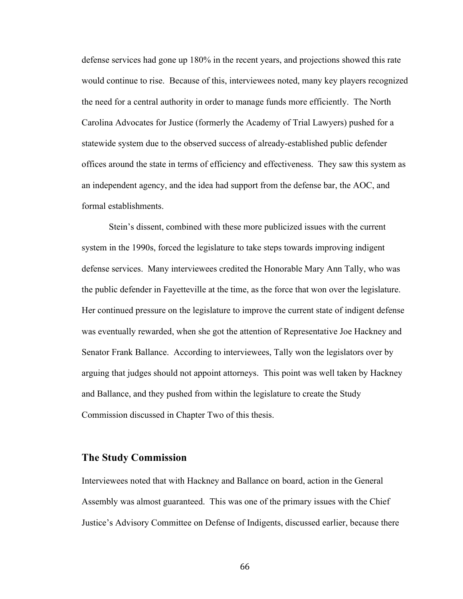defense services had gone up 180% in the recent years, and projections showed this rate would continue to rise. Because of this, interviewees noted, many key players recognized the need for a central authority in order to manage funds more efficiently. The North Carolina Advocates for Justice (formerly the Academy of Trial Lawyers) pushed for a statewide system due to the observed success of already-established public defender offices around the state in terms of efficiency and effectiveness. They saw this system as an independent agency, and the idea had support from the defense bar, the AOC, and formal establishments.

Stein's dissent, combined with these more publicized issues with the current system in the 1990s, forced the legislature to take steps towards improving indigent defense services. Many interviewees credited the Honorable Mary Ann Tally, who was the public defender in Fayetteville at the time, as the force that won over the legislature. Her continued pressure on the legislature to improve the current state of indigent defense was eventually rewarded, when she got the attention of Representative Joe Hackney and Senator Frank Ballance. According to interviewees, Tally won the legislators over by arguing that judges should not appoint attorneys. This point was well taken by Hackney and Ballance, and they pushed from within the legislature to create the Study Commission discussed in Chapter Two of this thesis.

### **The Study Commission**

Interviewees noted that with Hackney and Ballance on board, action in the General Assembly was almost guaranteed. This was one of the primary issues with the Chief Justice's Advisory Committee on Defense of Indigents, discussed earlier, because there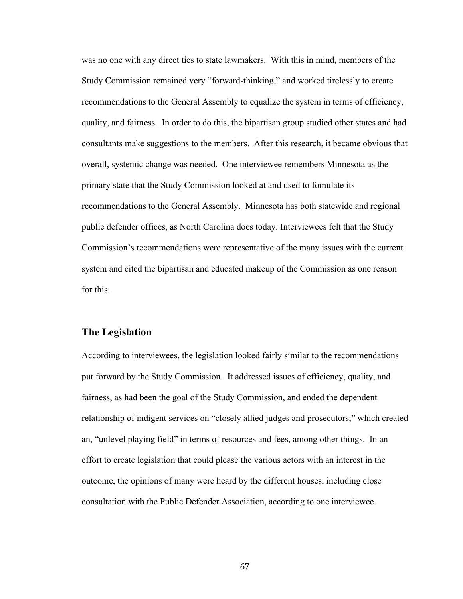was no one with any direct ties to state lawmakers. With this in mind, members of the Study Commission remained very "forward-thinking," and worked tirelessly to create recommendations to the General Assembly to equalize the system in terms of efficiency, quality, and fairness. In order to do this, the bipartisan group studied other states and had consultants make suggestions to the members. After this research, it became obvious that overall, systemic change was needed. One interviewee remembers Minnesota as the primary state that the Study Commission looked at and used to fomulate its recommendations to the General Assembly. Minnesota has both statewide and regional public defender offices, as North Carolina does today. Interviewees felt that the Study Commission's recommendations were representative of the many issues with the current system and cited the bipartisan and educated makeup of the Commission as one reason for this.

## **The Legislation**

According to interviewees, the legislation looked fairly similar to the recommendations put forward by the Study Commission. It addressed issues of efficiency, quality, and fairness, as had been the goal of the Study Commission, and ended the dependent relationship of indigent services on "closely allied judges and prosecutors," which created an, "unlevel playing field" in terms of resources and fees, among other things. In an effort to create legislation that could please the various actors with an interest in the outcome, the opinions of many were heard by the different houses, including close consultation with the Public Defender Association, according to one interviewee.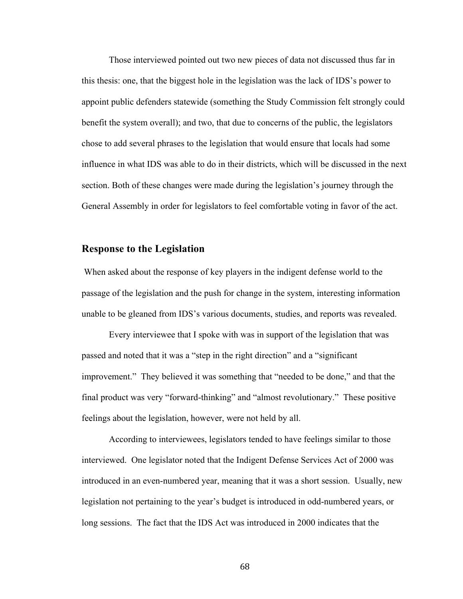Those interviewed pointed out two new pieces of data not discussed thus far in this thesis: one, that the biggest hole in the legislation was the lack of IDS's power to appoint public defenders statewide (something the Study Commission felt strongly could benefit the system overall); and two, that due to concerns of the public, the legislators chose to add several phrases to the legislation that would ensure that locals had some influence in what IDS was able to do in their districts, which will be discussed in the next section. Both of these changes were made during the legislation's journey through the General Assembly in order for legislators to feel comfortable voting in favor of the act.

## **Response to the Legislation**

 When asked about the response of key players in the indigent defense world to the passage of the legislation and the push for change in the system, interesting information unable to be gleaned from IDS's various documents, studies, and reports was revealed.

Every interviewee that I spoke with was in support of the legislation that was passed and noted that it was a "step in the right direction" and a "significant improvement." They believed it was something that "needed to be done," and that the final product was very "forward-thinking" and "almost revolutionary." These positive feelings about the legislation, however, were not held by all.

According to interviewees, legislators tended to have feelings similar to those interviewed. One legislator noted that the Indigent Defense Services Act of 2000 was introduced in an even-numbered year, meaning that it was a short session. Usually, new legislation not pertaining to the year's budget is introduced in odd-numbered years, or long sessions. The fact that the IDS Act was introduced in 2000 indicates that the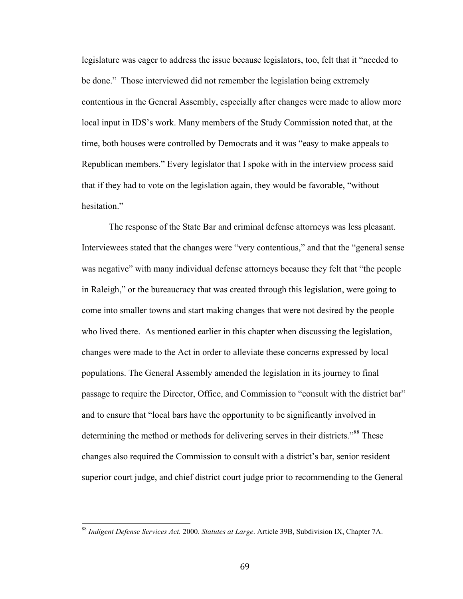legislature was eager to address the issue because legislators, too, felt that it "needed to be done." Those interviewed did not remember the legislation being extremely contentious in the General Assembly, especially after changes were made to allow more local input in IDS's work. Many members of the Study Commission noted that, at the time, both houses were controlled by Democrats and it was "easy to make appeals to Republican members." Every legislator that I spoke with in the interview process said that if they had to vote on the legislation again, they would be favorable, "without hesitation."

The response of the State Bar and criminal defense attorneys was less pleasant. Interviewees stated that the changes were "very contentious," and that the "general sense was negative" with many individual defense attorneys because they felt that "the people in Raleigh," or the bureaucracy that was created through this legislation, were going to come into smaller towns and start making changes that were not desired by the people who lived there. As mentioned earlier in this chapter when discussing the legislation, changes were made to the Act in order to alleviate these concerns expressed by local populations. The General Assembly amended the legislation in its journey to final passage to require the Director, Office, and Commission to "consult with the district bar" and to ensure that "local bars have the opportunity to be significantly involved in determining the method or methods for delivering serves in their districts."<sup>88</sup> These changes also required the Commission to consult with a district's bar, senior resident superior court judge, and chief district court judge prior to recommending to the General

<sup>&</sup>lt;sup>88</sup> Indigent Defense Services Act. 2000. Statutes at Large. Article 39B, Subdivision IX, Chapter 7A.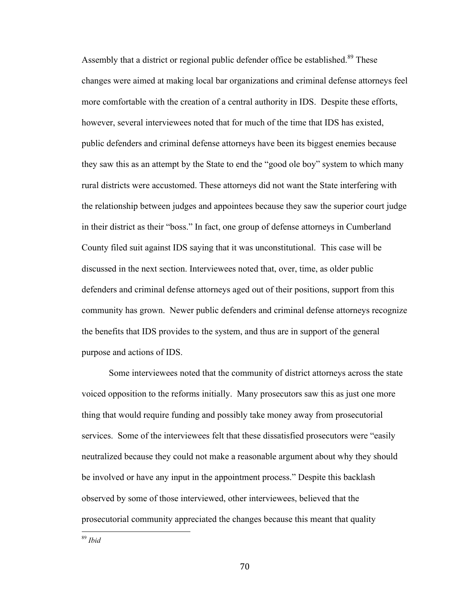Assembly that a district or regional public defender office be established.<sup>89</sup> These changes were aimed at making local bar organizations and criminal defense attorneys feel more comfortable with the creation of a central authority in IDS. Despite these efforts, however, several interviewees noted that for much of the time that IDS has existed, public defenders and criminal defense attorneys have been its biggest enemies because they saw this as an attempt by the State to end the "good ole boy" system to which many rural districts were accustomed. These attorneys did not want the State interfering with the relationship between judges and appointees because they saw the superior court judge in their district as their "boss." In fact, one group of defense attorneys in Cumberland County filed suit against IDS saying that it was unconstitutional. This case will be discussed in the next section. Interviewees noted that, over, time, as older public defenders and criminal defense attorneys aged out of their positions, support from this community has grown. Newer public defenders and criminal defense attorneys recognize the benefits that IDS provides to the system, and thus are in support of the general purpose and actions of IDS.

Some interviewees noted that the community of district attorneys across the state voiced opposition to the reforms initially. Many prosecutors saw this as just one more thing that would require funding and possibly take money away from prosecutorial services. Some of the interviewees felt that these dissatisfied prosecutors were "easily neutralized because they could not make a reasonable argument about why they should be involved or have any input in the appointment process." Despite this backlash observed by some of those interviewed, other interviewees, believed that the prosecutorial community appreciated the changes because this meant that quality

!!!!!!!!!!!!!!!!!!!!!!!!!!!!!!!!!!!!!!!!!!!!!!!!!!!!!!! <sup>89</sup> *Ibid*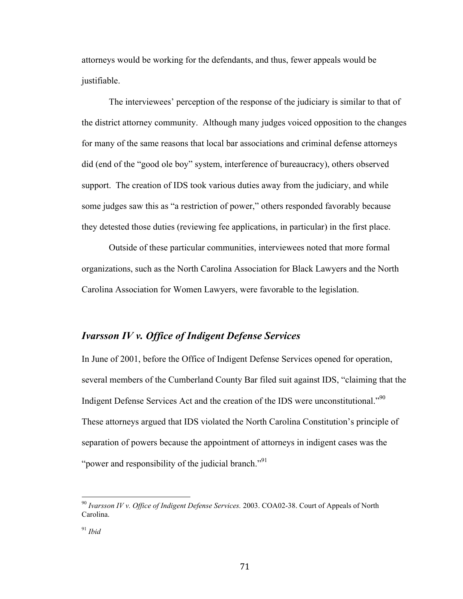attorneys would be working for the defendants, and thus, fewer appeals would be justifiable.

The interviewees' perception of the response of the judiciary is similar to that of the district attorney community. Although many judges voiced opposition to the changes for many of the same reasons that local bar associations and criminal defense attorneys did (end of the "good ole boy" system, interference of bureaucracy), others observed support. The creation of IDS took various duties away from the judiciary, and while some judges saw this as "a restriction of power," others responded favorably because they detested those duties (reviewing fee applications, in particular) in the first place.

Outside of these particular communities, interviewees noted that more formal organizations, such as the North Carolina Association for Black Lawyers and the North Carolina Association for Women Lawyers, were favorable to the legislation.

## *Ivarsson IV v. Office of Indigent Defense Services*

In June of 2001, before the Office of Indigent Defense Services opened for operation, several members of the Cumberland County Bar filed suit against IDS, "claiming that the Indigent Defense Services Act and the creation of the IDS were unconstitutional."<sup>90</sup> These attorneys argued that IDS violated the North Carolina Constitution's principle of separation of powers because the appointment of attorneys in indigent cases was the "power and responsibility of the judicial branch."<sup>91</sup>

<sup>&</sup>lt;sup>90</sup> Ivarsson IV v. Office of Indigent Defense Services. 2003. COA02-38. Court of Appeals of North Carolina.

<sup>91</sup> *Ibid*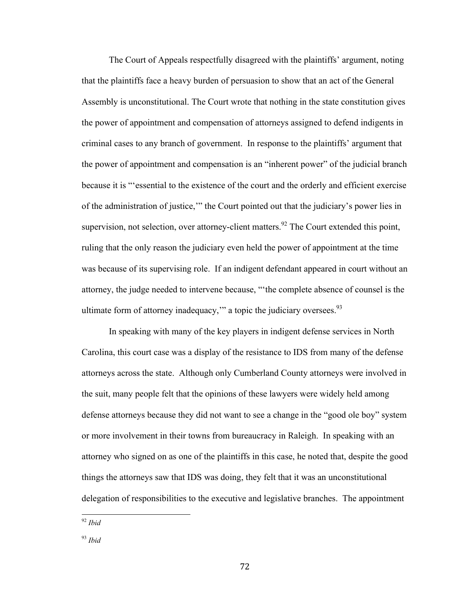The Court of Appeals respectfully disagreed with the plaintiffs' argument, noting that the plaintiffs face a heavy burden of persuasion to show that an act of the General Assembly is unconstitutional. The Court wrote that nothing in the state constitution gives the power of appointment and compensation of attorneys assigned to defend indigents in criminal cases to any branch of government. In response to the plaintiffs' argument that the power of appointment and compensation is an "inherent power" of the judicial branch because it is "'essential to the existence of the court and the orderly and efficient exercise of the administration of justice,'" the Court pointed out that the judiciary's power lies in supervision, not selection, over attorney-client matters.<sup>92</sup> The Court extended this point, ruling that the only reason the judiciary even held the power of appointment at the time was because of its supervising role. If an indigent defendant appeared in court without an attorney, the judge needed to intervene because, "'the complete absence of counsel is the ultimate form of attorney inadequacy," a topic the judiciary oversees. $93$ 

In speaking with many of the key players in indigent defense services in North Carolina, this court case was a display of the resistance to IDS from many of the defense attorneys across the state. Although only Cumberland County attorneys were involved in the suit, many people felt that the opinions of these lawyers were widely held among defense attorneys because they did not want to see a change in the "good ole boy" system or more involvement in their towns from bureaucracy in Raleigh. In speaking with an attorney who signed on as one of the plaintiffs in this case, he noted that, despite the good things the attorneys saw that IDS was doing, they felt that it was an unconstitutional delegation of responsibilities to the executive and legislative branches. The appointment

<sup>92</sup> *Ibid* 

<sup>93</sup> *Ibid*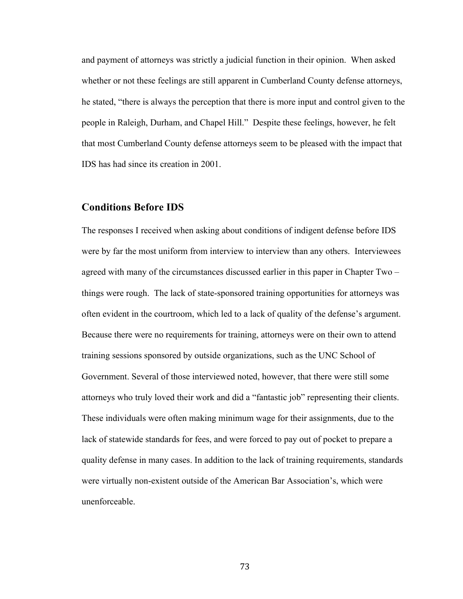and payment of attorneys was strictly a judicial function in their opinion. When asked whether or not these feelings are still apparent in Cumberland County defense attorneys, he stated, "there is always the perception that there is more input and control given to the people in Raleigh, Durham, and Chapel Hill." Despite these feelings, however, he felt that most Cumberland County defense attorneys seem to be pleased with the impact that IDS has had since its creation in 2001.

### **Conditions Before IDS**

The responses I received when asking about conditions of indigent defense before IDS were by far the most uniform from interview to interview than any others. Interviewees agreed with many of the circumstances discussed earlier in this paper in Chapter Two – things were rough. The lack of state-sponsored training opportunities for attorneys was often evident in the courtroom, which led to a lack of quality of the defense's argument. Because there were no requirements for training, attorneys were on their own to attend training sessions sponsored by outside organizations, such as the UNC School of Government. Several of those interviewed noted, however, that there were still some attorneys who truly loved their work and did a "fantastic job" representing their clients. These individuals were often making minimum wage for their assignments, due to the lack of statewide standards for fees, and were forced to pay out of pocket to prepare a quality defense in many cases. In addition to the lack of training requirements, standards were virtually non-existent outside of the American Bar Association's, which were unenforceable.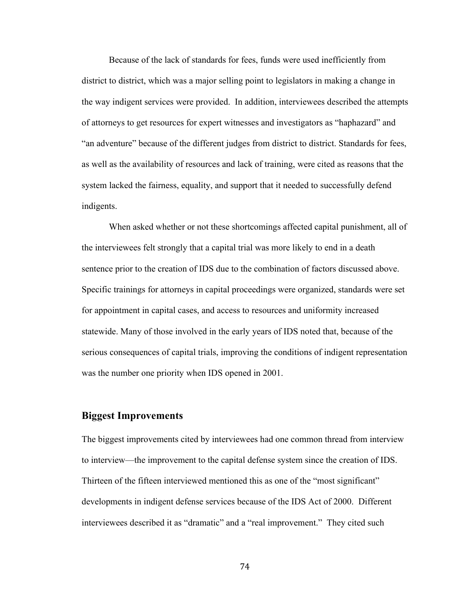Because of the lack of standards for fees, funds were used inefficiently from district to district, which was a major selling point to legislators in making a change in the way indigent services were provided. In addition, interviewees described the attempts of attorneys to get resources for expert witnesses and investigators as "haphazard" and "an adventure" because of the different judges from district to district. Standards for fees, as well as the availability of resources and lack of training, were cited as reasons that the system lacked the fairness, equality, and support that it needed to successfully defend indigents.

When asked whether or not these shortcomings affected capital punishment, all of the interviewees felt strongly that a capital trial was more likely to end in a death sentence prior to the creation of IDS due to the combination of factors discussed above. Specific trainings for attorneys in capital proceedings were organized, standards were set for appointment in capital cases, and access to resources and uniformity increased statewide. Many of those involved in the early years of IDS noted that, because of the serious consequences of capital trials, improving the conditions of indigent representation was the number one priority when IDS opened in 2001.

### **Biggest Improvements**

The biggest improvements cited by interviewees had one common thread from interview to interview—the improvement to the capital defense system since the creation of IDS. Thirteen of the fifteen interviewed mentioned this as one of the "most significant" developments in indigent defense services because of the IDS Act of 2000. Different interviewees described it as "dramatic" and a "real improvement." They cited such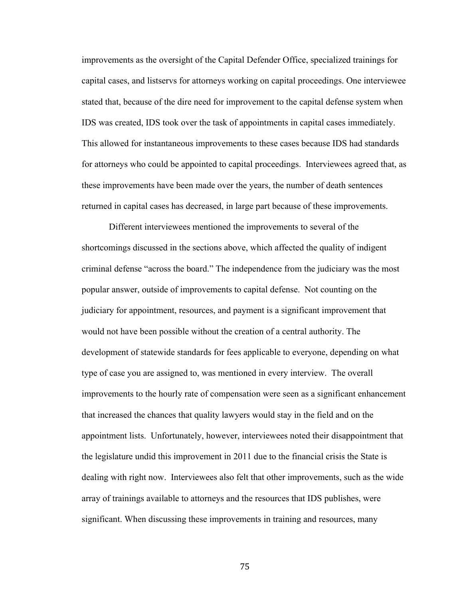improvements as the oversight of the Capital Defender Office, specialized trainings for capital cases, and listservs for attorneys working on capital proceedings. One interviewee stated that, because of the dire need for improvement to the capital defense system when IDS was created, IDS took over the task of appointments in capital cases immediately. This allowed for instantaneous improvements to these cases because IDS had standards for attorneys who could be appointed to capital proceedings. Interviewees agreed that, as these improvements have been made over the years, the number of death sentences returned in capital cases has decreased, in large part because of these improvements.

Different interviewees mentioned the improvements to several of the shortcomings discussed in the sections above, which affected the quality of indigent criminal defense "across the board." The independence from the judiciary was the most popular answer, outside of improvements to capital defense. Not counting on the judiciary for appointment, resources, and payment is a significant improvement that would not have been possible without the creation of a central authority. The development of statewide standards for fees applicable to everyone, depending on what type of case you are assigned to, was mentioned in every interview. The overall improvements to the hourly rate of compensation were seen as a significant enhancement that increased the chances that quality lawyers would stay in the field and on the appointment lists. Unfortunately, however, interviewees noted their disappointment that the legislature undid this improvement in 2011 due to the financial crisis the State is dealing with right now. Interviewees also felt that other improvements, such as the wide array of trainings available to attorneys and the resources that IDS publishes, were significant. When discussing these improvements in training and resources, many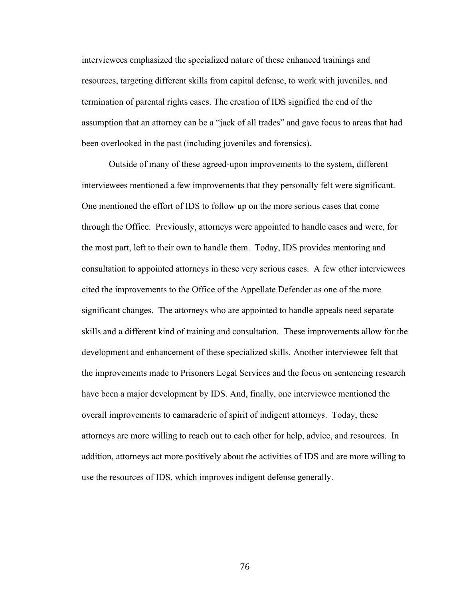interviewees emphasized the specialized nature of these enhanced trainings and resources, targeting different skills from capital defense, to work with juveniles, and termination of parental rights cases. The creation of IDS signified the end of the assumption that an attorney can be a "jack of all trades" and gave focus to areas that had been overlooked in the past (including juveniles and forensics).

Outside of many of these agreed-upon improvements to the system, different interviewees mentioned a few improvements that they personally felt were significant. One mentioned the effort of IDS to follow up on the more serious cases that come through the Office. Previously, attorneys were appointed to handle cases and were, for the most part, left to their own to handle them. Today, IDS provides mentoring and consultation to appointed attorneys in these very serious cases. A few other interviewees cited the improvements to the Office of the Appellate Defender as one of the more significant changes. The attorneys who are appointed to handle appeals need separate skills and a different kind of training and consultation. These improvements allow for the development and enhancement of these specialized skills. Another interviewee felt that the improvements made to Prisoners Legal Services and the focus on sentencing research have been a major development by IDS. And, finally, one interviewee mentioned the overall improvements to camaraderie of spirit of indigent attorneys. Today, these attorneys are more willing to reach out to each other for help, advice, and resources. In addition, attorneys act more positively about the activities of IDS and are more willing to use the resources of IDS, which improves indigent defense generally.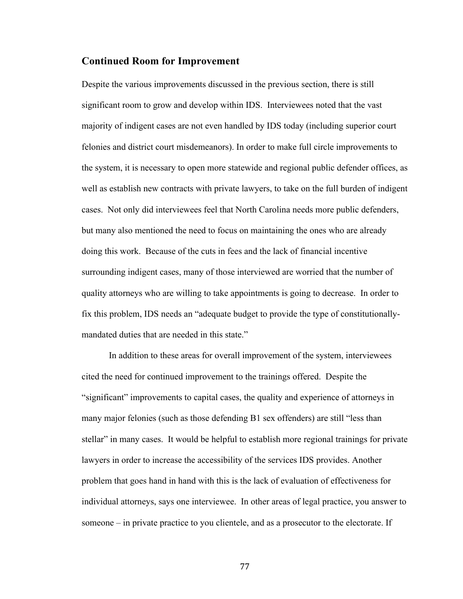### **Continued Room for Improvement**

Despite the various improvements discussed in the previous section, there is still significant room to grow and develop within IDS. Interviewees noted that the vast majority of indigent cases are not even handled by IDS today (including superior court felonies and district court misdemeanors). In order to make full circle improvements to the system, it is necessary to open more statewide and regional public defender offices, as well as establish new contracts with private lawyers, to take on the full burden of indigent cases. Not only did interviewees feel that North Carolina needs more public defenders, but many also mentioned the need to focus on maintaining the ones who are already doing this work. Because of the cuts in fees and the lack of financial incentive surrounding indigent cases, many of those interviewed are worried that the number of quality attorneys who are willing to take appointments is going to decrease. In order to fix this problem, IDS needs an "adequate budget to provide the type of constitutionallymandated duties that are needed in this state."

In addition to these areas for overall improvement of the system, interviewees cited the need for continued improvement to the trainings offered. Despite the "significant" improvements to capital cases, the quality and experience of attorneys in many major felonies (such as those defending B1 sex offenders) are still "less than stellar" in many cases. It would be helpful to establish more regional trainings for private lawyers in order to increase the accessibility of the services IDS provides. Another problem that goes hand in hand with this is the lack of evaluation of effectiveness for individual attorneys, says one interviewee. In other areas of legal practice, you answer to someone – in private practice to you clientele, and as a prosecutor to the electorate. If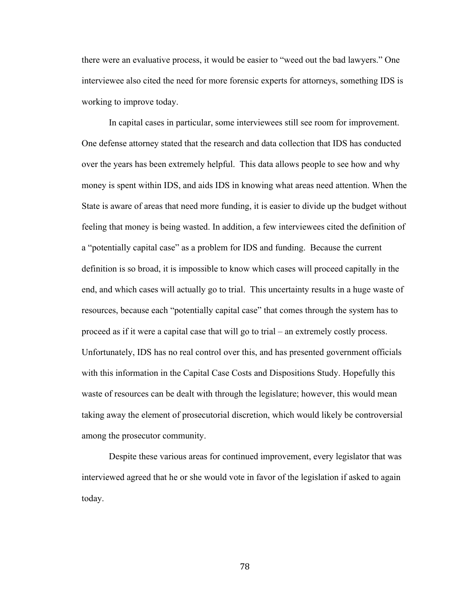there were an evaluative process, it would be easier to "weed out the bad lawyers." One interviewee also cited the need for more forensic experts for attorneys, something IDS is working to improve today.

In capital cases in particular, some interviewees still see room for improvement. One defense attorney stated that the research and data collection that IDS has conducted over the years has been extremely helpful. This data allows people to see how and why money is spent within IDS, and aids IDS in knowing what areas need attention. When the State is aware of areas that need more funding, it is easier to divide up the budget without feeling that money is being wasted. In addition, a few interviewees cited the definition of a "potentially capital case" as a problem for IDS and funding. Because the current definition is so broad, it is impossible to know which cases will proceed capitally in the end, and which cases will actually go to trial. This uncertainty results in a huge waste of resources, because each "potentially capital case" that comes through the system has to proceed as if it were a capital case that will go to trial – an extremely costly process. Unfortunately, IDS has no real control over this, and has presented government officials with this information in the Capital Case Costs and Dispositions Study. Hopefully this waste of resources can be dealt with through the legislature; however, this would mean taking away the element of prosecutorial discretion, which would likely be controversial among the prosecutor community.

Despite these various areas for continued improvement, every legislator that was interviewed agreed that he or she would vote in favor of the legislation if asked to again today.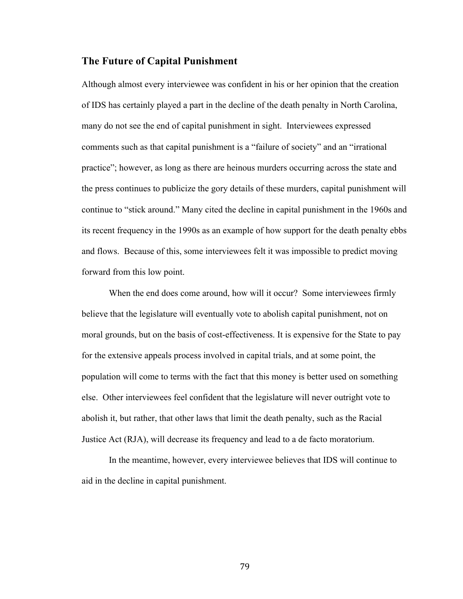### **The Future of Capital Punishment**

Although almost every interviewee was confident in his or her opinion that the creation of IDS has certainly played a part in the decline of the death penalty in North Carolina, many do not see the end of capital punishment in sight. Interviewees expressed comments such as that capital punishment is a "failure of society" and an "irrational practice"; however, as long as there are heinous murders occurring across the state and the press continues to publicize the gory details of these murders, capital punishment will continue to "stick around." Many cited the decline in capital punishment in the 1960s and its recent frequency in the 1990s as an example of how support for the death penalty ebbs and flows. Because of this, some interviewees felt it was impossible to predict moving forward from this low point.

When the end does come around, how will it occur? Some interviewees firmly believe that the legislature will eventually vote to abolish capital punishment, not on moral grounds, but on the basis of cost-effectiveness. It is expensive for the State to pay for the extensive appeals process involved in capital trials, and at some point, the population will come to terms with the fact that this money is better used on something else. Other interviewees feel confident that the legislature will never outright vote to abolish it, but rather, that other laws that limit the death penalty, such as the Racial Justice Act (RJA), will decrease its frequency and lead to a de facto moratorium.

In the meantime, however, every interviewee believes that IDS will continue to aid in the decline in capital punishment.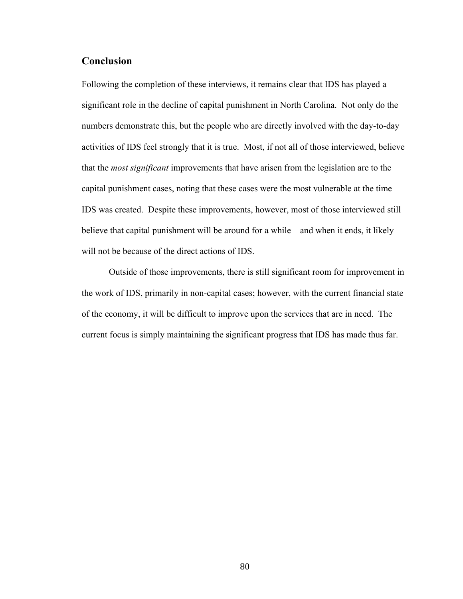# **Conclusion**

Following the completion of these interviews, it remains clear that IDS has played a significant role in the decline of capital punishment in North Carolina. Not only do the numbers demonstrate this, but the people who are directly involved with the day-to-day activities of IDS feel strongly that it is true. Most, if not all of those interviewed, believe that the *most significant* improvements that have arisen from the legislation are to the capital punishment cases, noting that these cases were the most vulnerable at the time IDS was created. Despite these improvements, however, most of those interviewed still believe that capital punishment will be around for a while – and when it ends, it likely will not be because of the direct actions of IDS.

Outside of those improvements, there is still significant room for improvement in the work of IDS, primarily in non-capital cases; however, with the current financial state of the economy, it will be difficult to improve upon the services that are in need. The current focus is simply maintaining the significant progress that IDS has made thus far.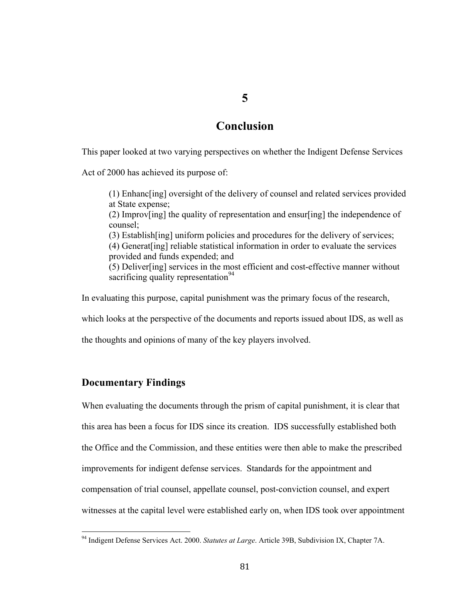# **Conclusion**

**5**

This paper looked at two varying perspectives on whether the Indigent Defense Services

Act of 2000 has achieved its purpose of:

(1) Enhanc[ing] oversight of the delivery of counsel and related services provided at State expense; (2) Improv[ing] the quality of representation and ensur[ing] the independence of counsel; (3) Establish[ing] uniform policies and procedures for the delivery of services; (4) Generat[ing] reliable statistical information in order to evaluate the services provided and funds expended; and (5) Deliver[ing] services in the most efficient and cost-effective manner without sacrificing quality representation  $94$ 

In evaluating this purpose, capital punishment was the primary focus of the research,

which looks at the perspective of the documents and reports issued about IDS, as well as

the thoughts and opinions of many of the key players involved.

### **Documentary Findings**

When evaluating the documents through the prism of capital punishment, it is clear that this area has been a focus for IDS since its creation. IDS successfully established both the Office and the Commission, and these entities were then able to make the prescribed improvements for indigent defense services. Standards for the appointment and compensation of trial counsel, appellate counsel, post-conviction counsel, and expert witnesses at the capital level were established early on, when IDS took over appointment

<sup>&</sup>lt;sup>94</sup> Indigent Defense Services Act. 2000. *Statutes at Large*. Article 39B, Subdivision IX, Chapter 7A.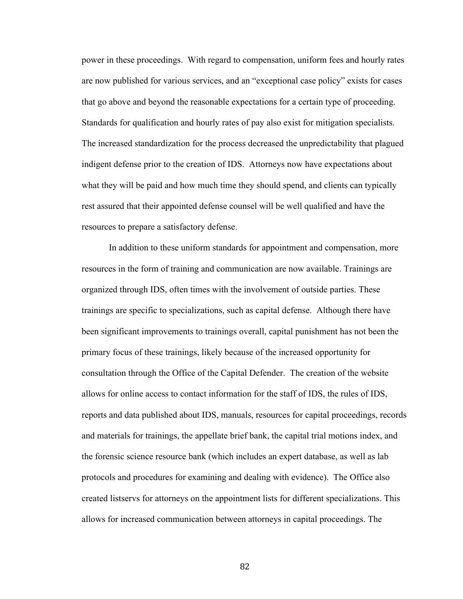power in these proceedings. With regard to compensation, uniform fees and hourly rates are now published for various services, and an "exceptional case policy" exists for cases that go above and beyond the reasonable expectations for a certain type of proceeding. Standards for qualification and hourly rates of pay also exist for mitigation specialists. The increased standardization for the process decreased the unpredictability that plagued indigent defense prior to the creation of IDS. Attorneys now have expectations about what they will be paid and how much time they should spend, and clients can typically rest assured that their appointed defense counsel will be well qualified and have the resources to prepare a satisfactory defense.

In addition to these uniform standards for appointment and compensation, more resources in the form of training and communication are now available. Trainings are organized through IDS, often times with the involvement of outside parties. These trainings are specific to specializations, such as capital defense. Although there have been significant improvements to trainings overall, capital punishment has not been the primary focus of these trainings, likely because of the increased opportunity for consultation through the Office of the Capital Defender. The creation of the website allows for online access to contact information for the staff of IDS, the rules of IDS, reports and data published about IDS, manuals, resources for capital proceedings, records and materials for trainings, the appellate brief bank, the capital trial motions index, and the forensic science resource bank (which includes an expert database, as well as lab protocols and procedures for examining and dealing with evidence). The Office also created listservs for attorneys on the appointment lists for different specializations. This allows for increased communication between attorneys in capital proceedings. The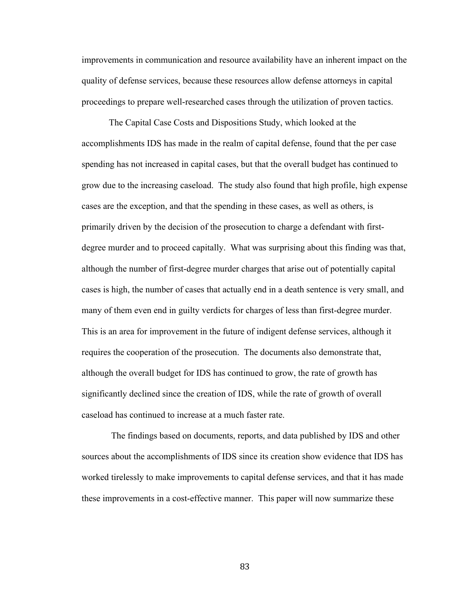improvements in communication and resource availability have an inherent impact on the quality of defense services, because these resources allow defense attorneys in capital proceedings to prepare well-researched cases through the utilization of proven tactics.

The Capital Case Costs and Dispositions Study, which looked at the accomplishments IDS has made in the realm of capital defense, found that the per case spending has not increased in capital cases, but that the overall budget has continued to grow due to the increasing caseload. The study also found that high profile, high expense cases are the exception, and that the spending in these cases, as well as others, is primarily driven by the decision of the prosecution to charge a defendant with firstdegree murder and to proceed capitally. What was surprising about this finding was that, although the number of first-degree murder charges that arise out of potentially capital cases is high, the number of cases that actually end in a death sentence is very small, and many of them even end in guilty verdicts for charges of less than first-degree murder. This is an area for improvement in the future of indigent defense services, although it requires the cooperation of the prosecution. The documents also demonstrate that, although the overall budget for IDS has continued to grow, the rate of growth has significantly declined since the creation of IDS, while the rate of growth of overall caseload has continued to increase at a much faster rate.

 The findings based on documents, reports, and data published by IDS and other sources about the accomplishments of IDS since its creation show evidence that IDS has worked tirelessly to make improvements to capital defense services, and that it has made these improvements in a cost-effective manner. This paper will now summarize these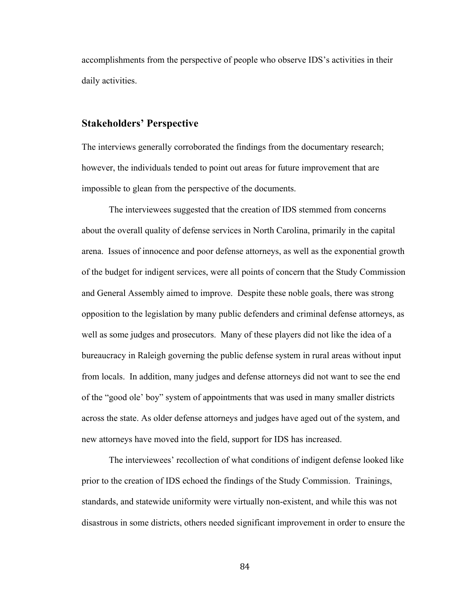accomplishments from the perspective of people who observe IDS's activities in their daily activities.

# **Stakeholders' Perspective**

The interviews generally corroborated the findings from the documentary research; however, the individuals tended to point out areas for future improvement that are impossible to glean from the perspective of the documents.

The interviewees suggested that the creation of IDS stemmed from concerns about the overall quality of defense services in North Carolina, primarily in the capital arena. Issues of innocence and poor defense attorneys, as well as the exponential growth of the budget for indigent services, were all points of concern that the Study Commission and General Assembly aimed to improve. Despite these noble goals, there was strong opposition to the legislation by many public defenders and criminal defense attorneys, as well as some judges and prosecutors. Many of these players did not like the idea of a bureaucracy in Raleigh governing the public defense system in rural areas without input from locals. In addition, many judges and defense attorneys did not want to see the end of the "good ole' boy" system of appointments that was used in many smaller districts across the state. As older defense attorneys and judges have aged out of the system, and new attorneys have moved into the field, support for IDS has increased.

The interviewees' recollection of what conditions of indigent defense looked like prior to the creation of IDS echoed the findings of the Study Commission. Trainings, standards, and statewide uniformity were virtually non-existent, and while this was not disastrous in some districts, others needed significant improvement in order to ensure the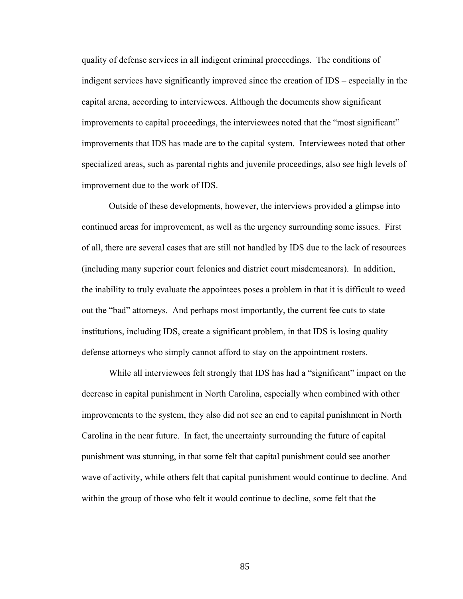quality of defense services in all indigent criminal proceedings. The conditions of indigent services have significantly improved since the creation of IDS – especially in the capital arena, according to interviewees. Although the documents show significant improvements to capital proceedings, the interviewees noted that the "most significant" improvements that IDS has made are to the capital system. Interviewees noted that other specialized areas, such as parental rights and juvenile proceedings, also see high levels of improvement due to the work of IDS.

Outside of these developments, however, the interviews provided a glimpse into continued areas for improvement, as well as the urgency surrounding some issues. First of all, there are several cases that are still not handled by IDS due to the lack of resources (including many superior court felonies and district court misdemeanors). In addition, the inability to truly evaluate the appointees poses a problem in that it is difficult to weed out the "bad" attorneys. And perhaps most importantly, the current fee cuts to state institutions, including IDS, create a significant problem, in that IDS is losing quality defense attorneys who simply cannot afford to stay on the appointment rosters.

While all interviewees felt strongly that IDS has had a "significant" impact on the decrease in capital punishment in North Carolina, especially when combined with other improvements to the system, they also did not see an end to capital punishment in North Carolina in the near future. In fact, the uncertainty surrounding the future of capital punishment was stunning, in that some felt that capital punishment could see another wave of activity, while others felt that capital punishment would continue to decline. And within the group of those who felt it would continue to decline, some felt that the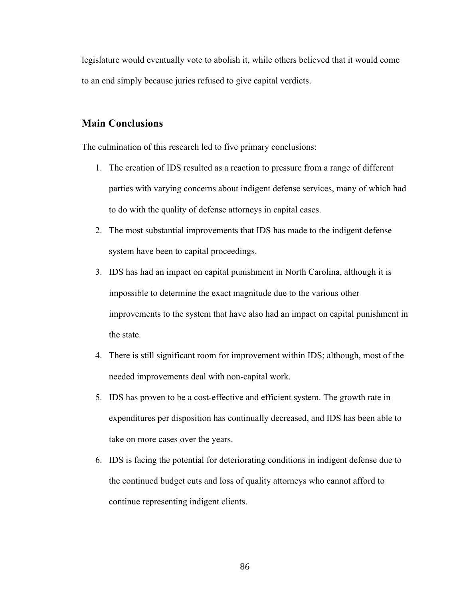legislature would eventually vote to abolish it, while others believed that it would come to an end simply because juries refused to give capital verdicts.

# **Main Conclusions**

The culmination of this research led to five primary conclusions:

- 1. The creation of IDS resulted as a reaction to pressure from a range of different parties with varying concerns about indigent defense services, many of which had to do with the quality of defense attorneys in capital cases.
- 2. The most substantial improvements that IDS has made to the indigent defense system have been to capital proceedings.
- 3. IDS has had an impact on capital punishment in North Carolina, although it is impossible to determine the exact magnitude due to the various other improvements to the system that have also had an impact on capital punishment in the state.
- 4. There is still significant room for improvement within IDS; although, most of the needed improvements deal with non-capital work.
- 5. IDS has proven to be a cost-effective and efficient system. The growth rate in expenditures per disposition has continually decreased, and IDS has been able to take on more cases over the years.
- 6. IDS is facing the potential for deteriorating conditions in indigent defense due to the continued budget cuts and loss of quality attorneys who cannot afford to continue representing indigent clients.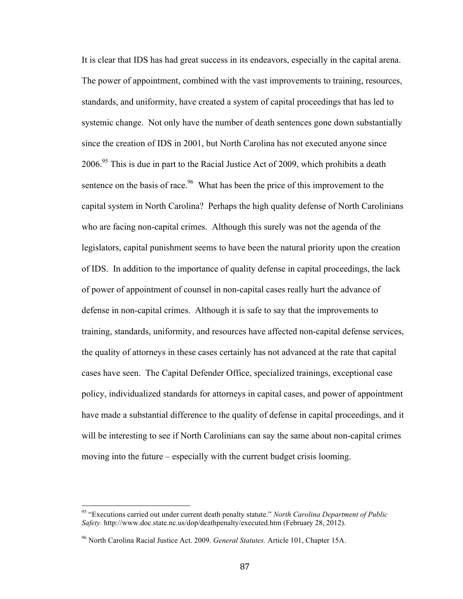It is clear that IDS has had great success in its endeavors, especially in the capital arena. The power of appointment, combined with the vast improvements to training, resources, standards, and uniformity, have created a system of capital proceedings that has led to systemic change. Not only have the number of death sentences gone down substantially since the creation of IDS in 2001, but North Carolina has not executed anyone since  $2006<sup>95</sup>$  This is due in part to the Racial Justice Act of 2009, which prohibits a death sentence on the basis of race.<sup>96</sup> What has been the price of this improvement to the capital system in North Carolina? Perhaps the high quality defense of North Carolinians who are facing non-capital crimes. Although this surely was not the agenda of the legislators, capital punishment seems to have been the natural priority upon the creation of IDS. In addition to the importance of quality defense in capital proceedings, the lack of power of appointment of counsel in non-capital cases really hurt the advance of defense in non-capital crimes. Although it is safe to say that the improvements to training, standards, uniformity, and resources have affected non-capital defense services, the quality of attorneys in these cases certainly has not advanced at the rate that capital cases have seen. The Capital Defender Office, specialized trainings, exceptional case policy, individualized standards for attorneys in capital cases, and power of appointment have made a substantial difference to the quality of defense in capital proceedings, and it will be interesting to see if North Carolinians can say the same about non-capital crimes moving into the future – especially with the current budget crisis looming.

<sup>&</sup>lt;sup>95</sup> "Executions carried out under current death penalty statute." *North Carolina Department of Public Safety.* http://www.doc.state.nc.us/dop/deathpenalty/executed.htm (February 28, 2012).

<sup>96</sup> North Carolina Racial Justice Act. 2009. *General Statutes.* Article 101, Chapter 15A.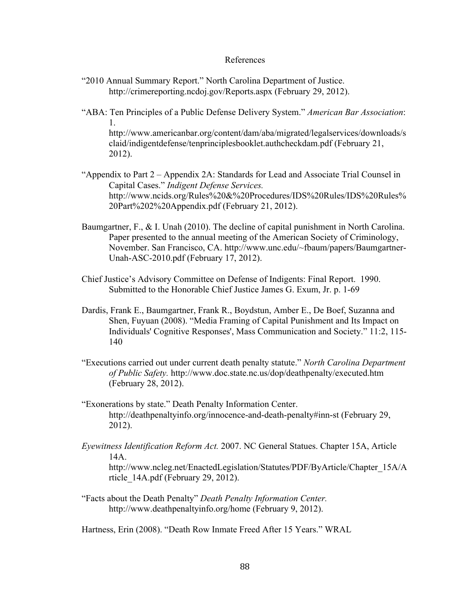#### References

- "2010 Annual Summary Report." North Carolina Department of Justice. http://crimereporting.ncdoj.gov/Reports.aspx (February 29, 2012).
- "ABA: Ten Principles of a Public Defense Delivery System." *American Bar Association*: 1. http://www.americanbar.org/content/dam/aba/migrated/legalservices/downloads/s claid/indigentdefense/tenprinciplesbooklet.authcheckdam.pdf (February 21, 2012).
- "Appendix to Part 2 Appendix 2A: Standards for Lead and Associate Trial Counsel in Capital Cases." *Indigent Defense Services.*  http://www.ncids.org/Rules%20&%20Procedures/IDS%20Rules/IDS%20Rules% 20Part%202%20Appendix.pdf (February 21, 2012).
- Baumgartner, F., & I. Unah (2010). The decline of capital punishment in North Carolina. Paper presented to the annual meeting of the American Society of Criminology, November. San Francisco, CA. http://www.unc.edu/~fbaum/papers/Baumgartner-Unah-ASC-2010.pdf (February 17, 2012).
- Chief Justice's Advisory Committee on Defense of Indigents: Final Report. 1990. Submitted to the Honorable Chief Justice James G. Exum, Jr. p. 1-69
- Dardis, Frank E., Baumgartner, Frank R., Boydstun, Amber E., De Boef, Suzanna and Shen, Fuyuan (2008). "Media Framing of Capital Punishment and Its Impact on Individuals' Cognitive Responses', Mass Communication and Society." 11:2, 115- 140
- "Executions carried out under current death penalty statute." *North Carolina Department of Public Safety.* http://www.doc.state.nc.us/dop/deathpenalty/executed.htm (February 28, 2012).
- "Exonerations by state." Death Penalty Information Center. http://deathpenaltyinfo.org/innocence-and-death-penalty#inn-st (February 29, 2012).
- *Eyewitness Identification Reform Act.* 2007. NC General Statues. Chapter 15A, Article 14A.

http://www.ncleg.net/EnactedLegislation/Statutes/PDF/ByArticle/Chapter\_15A/A rticle\_14A.pdf (February 29, 2012).

"Facts about the Death Penalty" *Death Penalty Information Center.* http://www.deathpenaltyinfo.org/home (February 9, 2012).

Hartness, Erin (2008). "Death Row Inmate Freed After 15 Years." WRAL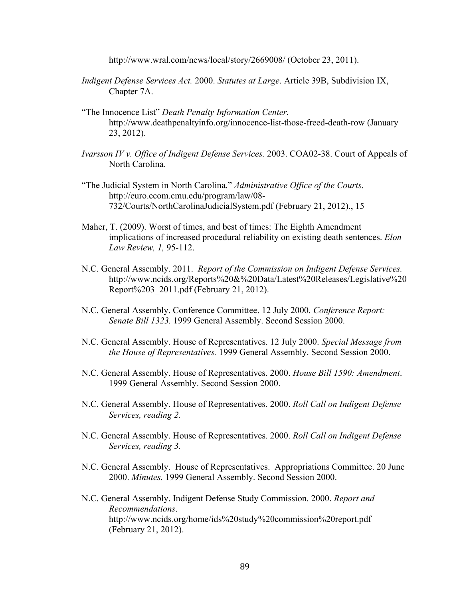http://www.wral.com/news/local/story/2669008/ (October 23, 2011).

- *Indigent Defense Services Act.* 2000. *Statutes at Large*. Article 39B, Subdivision IX, Chapter 7A.
- "The Innocence List" *Death Penalty Information Center.* http://www.deathpenaltyinfo.org/innocence-list-those-freed-death-row (January 23, 2012).
- *Ivarsson IV v. Office of Indigent Defense Services.* 2003. COA02-38. Court of Appeals of North Carolina.
- "The Judicial System in North Carolina." *Administrative Office of the Courts*. http://euro.ecom.cmu.edu/program/law/08- 732/Courts/NorthCarolinaJudicialSystem.pdf (February 21, 2012)., 15
- Maher, T. (2009). Worst of times, and best of times: The Eighth Amendment implications of increased procedural reliability on existing death sentences. *Elon Law Review, 1,* 95-112.
- N.C. General Assembly. 2011. *Report of the Commission on Indigent Defense Services.*  http://www.ncids.org/Reports%20&%20Data/Latest%20Releases/Legislative%20 Report%203\_2011.pdf (February 21, 2012).
- N.C. General Assembly. Conference Committee. 12 July 2000. *Conference Report: Senate Bill 1323.* 1999 General Assembly. Second Session 2000.
- N.C. General Assembly. House of Representatives. 12 July 2000. *Special Message from the House of Representatives.* 1999 General Assembly. Second Session 2000.
- N.C. General Assembly. House of Representatives. 2000. *House Bill 1590: Amendment*. 1999 General Assembly. Second Session 2000.
- N.C. General Assembly. House of Representatives. 2000. *Roll Call on Indigent Defense Services, reading 2.*
- N.C. General Assembly. House of Representatives. 2000. *Roll Call on Indigent Defense Services, reading 3.*
- N.C. General Assembly. House of Representatives. Appropriations Committee. 20 June 2000. *Minutes.* 1999 General Assembly. Second Session 2000.
- N.C. General Assembly. Indigent Defense Study Commission. 2000. *Report and Recommendations*. http://www.ncids.org/home/ids%20study%20commission%20report.pdf (February 21, 2012).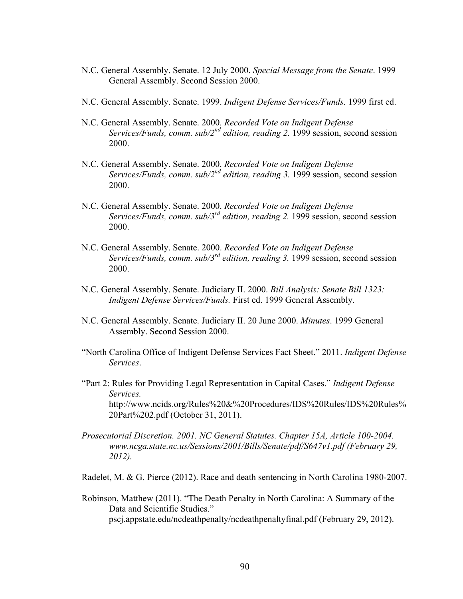- N.C. General Assembly. Senate. 12 July 2000. *Special Message from the Senate*. 1999 General Assembly. Second Session 2000.
- N.C. General Assembly. Senate. 1999. *Indigent Defense Services/Funds.* 1999 first ed.
- N.C. General Assembly. Senate. 2000. *Recorded Vote on Indigent Defense Services/Funds, comm. sub/2<sup>nd</sup> edition, reading 2.* 1999 session, second session 2000.
- N.C. General Assembly. Senate. 2000. *Recorded Vote on Indigent Defense Services/Funds, comm. sub/2nd edition, reading 3.* 1999 session, second session 2000.
- N.C. General Assembly. Senate. 2000. *Recorded Vote on Indigent Defense Services/Funds, comm. sub/3<sup>rd</sup> edition, reading 2.* 1999 session, second session 2000.
- N.C. General Assembly. Senate. 2000. *Recorded Vote on Indigent Defense Services/Funds, comm. sub/3<sup>rd</sup> edition, reading 3.* 1999 session, second session 2000.
- N.C. General Assembly. Senate. Judiciary II. 2000. *Bill Analysis: Senate Bill 1323: Indigent Defense Services/Funds.* First ed. 1999 General Assembly.
- N.C. General Assembly. Senate. Judiciary II. 20 June 2000. *Minutes*. 1999 General Assembly. Second Session 2000.
- "North Carolina Office of Indigent Defense Services Fact Sheet." 2011. *Indigent Defense Services*.
- "Part 2: Rules for Providing Legal Representation in Capital Cases." *Indigent Defense Services.* http://www.ncids.org/Rules%20&%20Procedures/IDS%20Rules/IDS%20Rules% 20Part%202.pdf (October 31, 2011).
- *Prosecutorial Discretion. 2001. NC General Statutes. Chapter 15A, Article 100-2004. www.ncga.state.nc.us/Sessions/2001/Bills/Senate/pdf/S647v1.pdf (February 29, 2012).*
- Radelet, M. & G. Pierce (2012). Race and death sentencing in North Carolina 1980-2007.
- Robinson, Matthew (2011). "The Death Penalty in North Carolina: A Summary of the Data and Scientific Studies." pscj.appstate.edu/ncdeathpenalty/ncdeathpenaltyfinal.pdf (February 29, 2012).